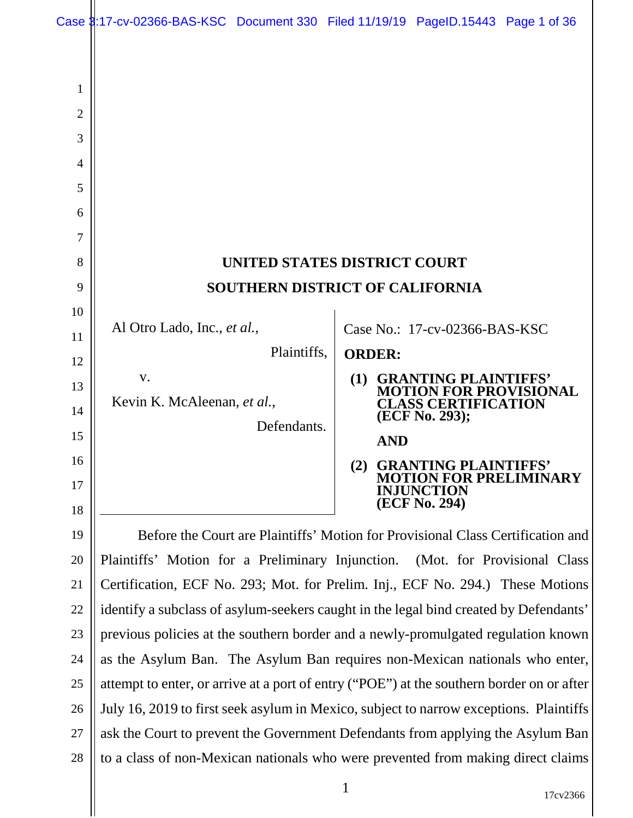|    | Case 3:17-cv-02366-BAS-KSC Document 330 Filed 11/19/19 PageID.15443 Page 1 of 36          |             |               |                                             |                        |
|----|-------------------------------------------------------------------------------------------|-------------|---------------|---------------------------------------------|------------------------|
|    |                                                                                           |             |               |                                             |                        |
| 1  |                                                                                           |             |               |                                             |                        |
| 2  |                                                                                           |             |               |                                             |                        |
| 3  |                                                                                           |             |               |                                             |                        |
| 4  |                                                                                           |             |               |                                             |                        |
| 5  |                                                                                           |             |               |                                             |                        |
| 6  |                                                                                           |             |               |                                             |                        |
| 7  |                                                                                           |             |               |                                             |                        |
| 8  | UNITED STATES DISTRICT COURT                                                              |             |               |                                             |                        |
| 9  | <b>SOUTHERN DISTRICT OF CALIFORNIA</b>                                                    |             |               |                                             |                        |
| 10 |                                                                                           |             |               |                                             |                        |
| 11 | Al Otro Lado, Inc., et al.,                                                               |             |               | Case No.: 17-cv-02366-BAS-KSC               |                        |
| 12 |                                                                                           | Plaintiffs, | <b>ORDER:</b> |                                             |                        |
| 13 | V.                                                                                        |             | <b>(1)</b>    | <b>GRANTING PLAINTIFFS'</b>                 | <b>FOR PROVISIONAL</b> |
| 14 | Kevin K. McAleenan, et al.,                                                               |             |               | <b>LASS CERTIFICATION</b><br>(ECF No. 293); |                        |
| 15 |                                                                                           | Defendants. | <b>AND</b>    |                                             |                        |
| 16 |                                                                                           |             | (2)           | <b>GRANTING PLAINTIFFS'</b>                 |                        |
| 17 |                                                                                           |             |               | JUNCTION.                                   | <b>FOR PRELIMINARY</b> |
| 18 |                                                                                           |             |               | (ECF No. 294)                               |                        |
| 19 | Before the Court are Plaintiffs' Motion for Provisional Class Certification and           |             |               |                                             |                        |
| 20 | Plaintiffs' Motion for a Preliminary Injunction. (Mot. for Provisional Class              |             |               |                                             |                        |
| 21 | Certification, ECF No. 293; Mot. for Prelim. Inj., ECF No. 294.) These Motions            |             |               |                                             |                        |
| 22 | identify a subclass of asylum-seekers caught in the legal bind created by Defendants'     |             |               |                                             |                        |
| 23 | previous policies at the southern border and a newly-promulgated regulation known         |             |               |                                             |                        |
| 24 | as the Asylum Ban. The Asylum Ban requires non-Mexican nationals who enter,               |             |               |                                             |                        |
| 25 | attempt to enter, or arrive at a port of entry ("POE") at the southern border on or after |             |               |                                             |                        |

26 27 28 July 16, 2019 to first seek asylum in Mexico, subject to narrow exceptions. Plaintiffs ask the Court to prevent the Government Defendants from applying the Asylum Ban to a class of non-Mexican nationals who were prevented from making direct claims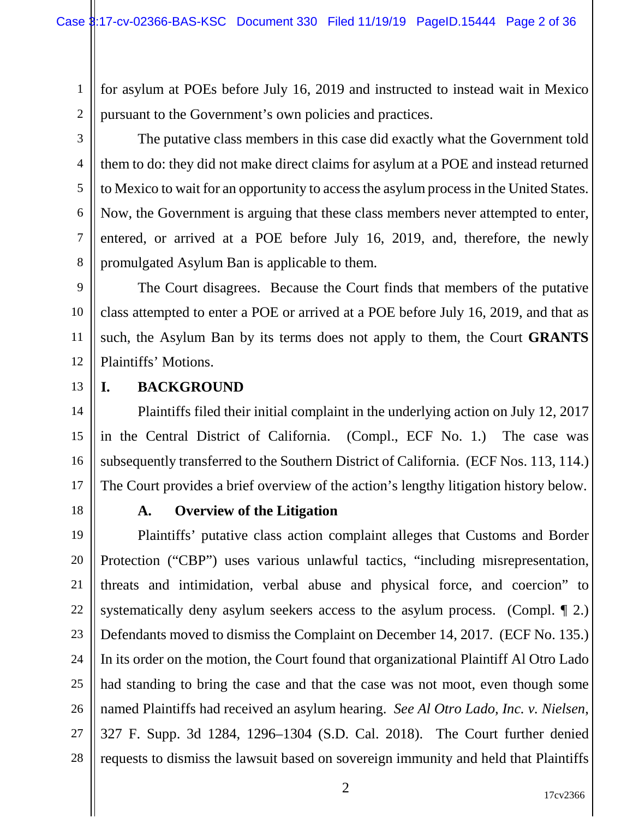for asylum at POEs before July 16, 2019 and instructed to instead wait in Mexico pursuant to the Government's own policies and practices.

2 3

1

4 5 6 7 8 The putative class members in this case did exactly what the Government told them to do: they did not make direct claims for asylum at a POE and instead returned to Mexico to wait for an opportunity to access the asylum process in the United States. Now, the Government is arguing that these class members never attempted to enter, entered, or arrived at a POE before July 16, 2019, and, therefore, the newly promulgated Asylum Ban is applicable to them.

9 10 11 12 The Court disagrees. Because the Court finds that members of the putative class attempted to enter a POE or arrived at a POE before July 16, 2019, and that as such, the Asylum Ban by its terms does not apply to them, the Court **GRANTS** Plaintiffs' Motions.

13

# **I. BACKGROUND**

14 15 16 17 Plaintiffs filed their initial complaint in the underlying action on July 12, 2017 in the Central District of California. (Compl., ECF No. 1.) The case was subsequently transferred to the Southern District of California. (ECF Nos. 113, 114.) The Court provides a brief overview of the action's lengthy litigation history below.

18

# **A. Overview of the Litigation**

19 20 21 22 23 24 25 26 27 28 Plaintiffs' putative class action complaint alleges that Customs and Border Protection ("CBP") uses various unlawful tactics, "including misrepresentation, threats and intimidation, verbal abuse and physical force, and coercion" to systematically deny asylum seekers access to the asylum process. (Compl. ¶ 2.) Defendants moved to dismiss the Complaint on December 14, 2017. (ECF No. 135.) In its order on the motion, the Court found that organizational Plaintiff Al Otro Lado had standing to bring the case and that the case was not moot, even though some named Plaintiffs had received an asylum hearing. *See Al Otro Lado, Inc. v. Nielsen*, 327 F. Supp. 3d 1284, 1296–1304 (S.D. Cal. 2018). The Court further denied requests to dismiss the lawsuit based on sovereign immunity and held that Plaintiffs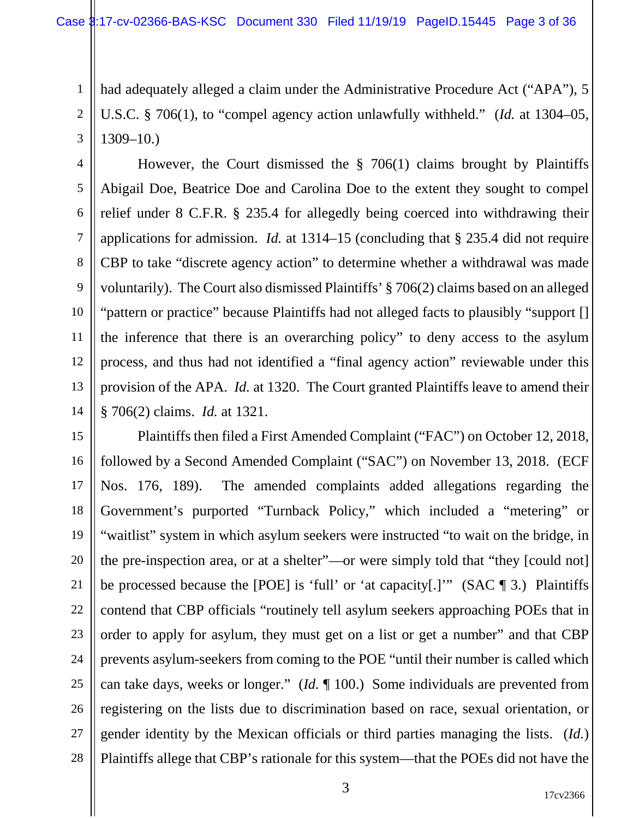1 2 3 had adequately alleged a claim under the Administrative Procedure Act ("APA"), 5 U.S.C. § 706(1), to "compel agency action unlawfully withheld." (*Id.* at 1304–05, 1309–10.)

4 5 6 7 8 9 10 11 12 13 14 However, the Court dismissed the § 706(1) claims brought by Plaintiffs Abigail Doe, Beatrice Doe and Carolina Doe to the extent they sought to compel relief under 8 C.F.R. § 235.4 for allegedly being coerced into withdrawing their applications for admission. *Id.* at 1314–15 (concluding that § 235.4 did not require CBP to take "discrete agency action" to determine whether a withdrawal was made voluntarily). The Court also dismissed Plaintiffs' § 706(2) claims based on an alleged "pattern or practice" because Plaintiffs had not alleged facts to plausibly "support [] the inference that there is an overarching policy" to deny access to the asylum process, and thus had not identified a "final agency action" reviewable under this provision of the APA. *Id.* at 1320. The Court granted Plaintiffs leave to amend their § 706(2) claims. *Id.* at 1321.

15 16 17 18 19 20 21 22 23 24 25 26 27 28 Plaintiffs then filed a First Amended Complaint ("FAC") on October 12, 2018, followed by a Second Amended Complaint ("SAC") on November 13, 2018. (ECF Nos. 176, 189). The amended complaints added allegations regarding the Government's purported "Turnback Policy," which included a "metering" or "waitlist" system in which asylum seekers were instructed "to wait on the bridge, in the pre-inspection area, or at a shelter"—or were simply told that "they [could not] be processed because the [POE] is 'full' or 'at capacity[.]'" (SAC ¶ 3.) Plaintiffs contend that CBP officials "routinely tell asylum seekers approaching POEs that in order to apply for asylum, they must get on a list or get a number" and that CBP prevents asylum-seekers from coming to the POE "until their number is called which can take days, weeks or longer." (*Id.* ¶ 100.) Some individuals are prevented from registering on the lists due to discrimination based on race, sexual orientation, or gender identity by the Mexican officials or third parties managing the lists. (*Id.*) Plaintiffs allege that CBP's rationale for this system—that the POEs did not have the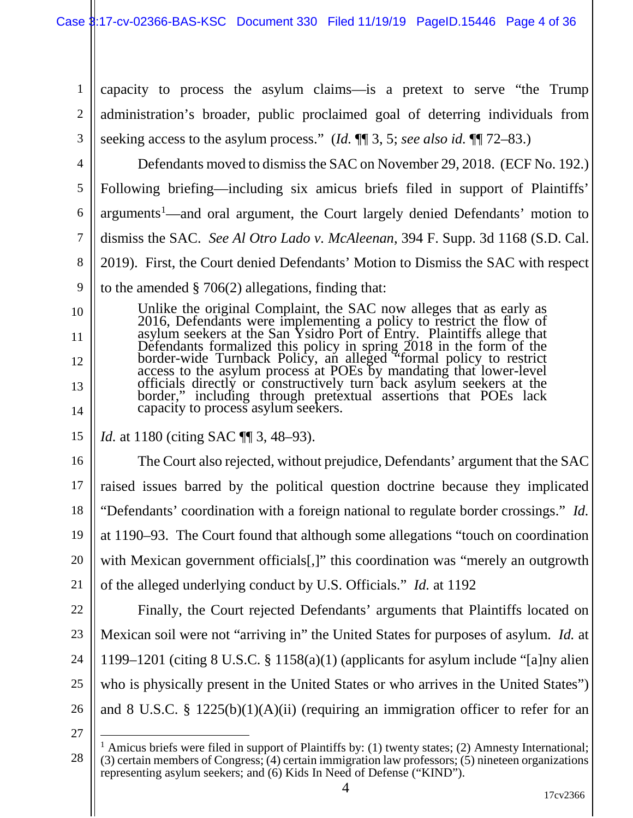1 2 3 capacity to process the asylum claims—is a pretext to serve "the Trump administration's broader, public proclaimed goal of deterring individuals from seeking access to the asylum process." (*Id.* ¶¶ 3, 5; *see also id.* ¶¶ 72–83.)

4 5 6 7 8 9 Defendants moved to dismiss the SAC on November 29, 2018. (ECF No. 192.) Following briefing—including six amicus briefs filed in support of Plaintiffs' arguments<sup>[1](#page-3-0)</sup>—and oral argument, the Court largely denied Defendants' motion to dismiss the SAC. *See Al Otro Lado v. McAleenan*, 394 F. Supp. 3d 1168 (S.D. Cal. 2019). First, the Court denied Defendants' Motion to Dismiss the SAC with respect to the amended  $\S 706(2)$  allegations, finding that:

Unlike the original Complaint, the SAC now alleges that as early as 2016, Defendants were implementing a policy to restrict the flow of asylum seekers at the San Ysidro Port of Entry. Plaintiffs allege that Defendants formalized this policy in spring 2018 in the form of the border-wide Turnback Policy, an alleged "formal policy to restrict access to the asylum process at POEs by mandating that lower-level officials directly or constructively turn back asylum seekers at the border," including through pretextual assertions that POEs lack capacity to process asylum seekers.

15 *Id.* at 1180 (citing SAC  $\P$  3, 48–93).

16 17 18 19 20 21 The Court also rejected, without prejudice, Defendants' argument that the SAC raised issues barred by the political question doctrine because they implicated "Defendants' coordination with a foreign national to regulate border crossings." *Id.* at 1190–93. The Court found that although some allegations "touch on coordination with Mexican government officials[,]" this coordination was "merely an outgrowth of the alleged underlying conduct by U.S. Officials." *Id.* at 1192

22

10

11

12

13

14

23 24 25 26 Finally, the Court rejected Defendants' arguments that Plaintiffs located on Mexican soil were not "arriving in" the United States for purposes of asylum. *Id.* at 1199–1201 (citing 8 U.S.C. § 1158(a)(1) (applicants for asylum include "[a]ny alien who is physically present in the United States or who arrives in the United States") and 8 U.S.C. §  $1225(b)(1)(A)(ii)$  (requiring an immigration officer to refer for an

<span id="page-3-0"></span><sup>28</sup> <sup>1</sup> Amicus briefs were filed in support of Plaintiffs by: (1) twenty states; (2) Amnesty International; (3) certain members of Congress; (4) certain immigration law professors; (5) nineteen organizations representing asylum seekers; and (6) Kids In Need of Defense ("KIND").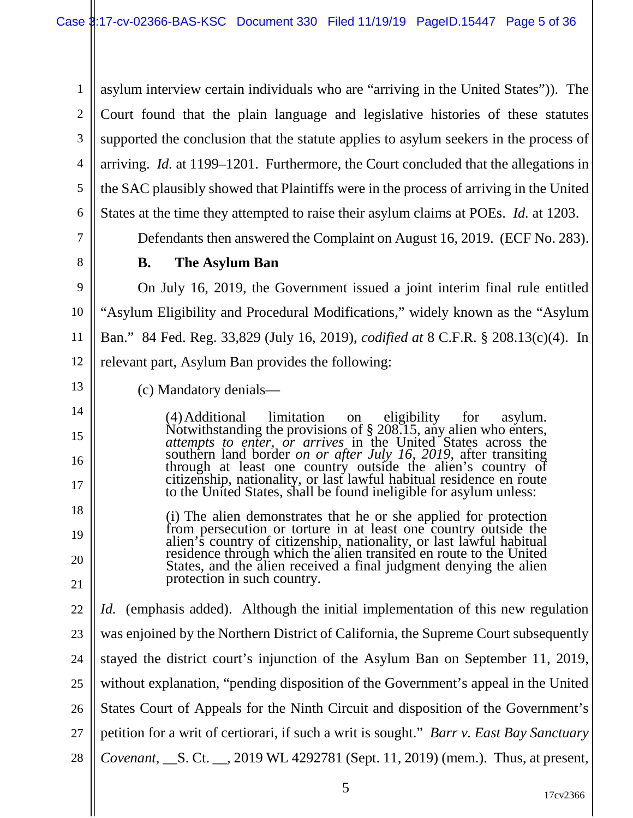1 2 3 4 5 6 asylum interview certain individuals who are "arriving in the United States")). The Court found that the plain language and legislative histories of these statutes supported the conclusion that the statute applies to asylum seekers in the process of arriving. *Id.* at 1199–1201. Furthermore, the Court concluded that the allegations in the SAC plausibly showed that Plaintiffs were in the process of arriving in the United States at the time they attempted to raise their asylum claims at POEs. *Id.* at 1203.

Defendants then answered the Complaint on August 16, 2019. (ECF No. 283).

7

8

13

14

15

16

17

18

19

20

21

#### **B. The Asylum Ban**

9 10 11 12 On July 16, 2019, the Government issued a joint interim final rule entitled "Asylum Eligibility and Procedural Modifications," widely known as the "Asylum Ban." 84 Fed. Reg. 33,829 (July 16, 2019), *codified at* 8 C.F.R. § 208.13(c)(4). In relevant part, Asylum Ban provides the following:

(c) Mandatory denials—

(4)Additional limitation on eligibility for asylum. Notwithstanding the provisions of § 208.15, any alien who enters, *attempts to enter, or arrives* in the United States across the southern land border *on or after July 16, 2019*, after transiting through at least one country outside the alien's country of citizenship, nationality, or last lawful habitual residence en route to the United States, shall be found ineligible for asylum unless:

(i) The alien demonstrates that he or she applied for protection from persecution or torture in at least one country outside the alien's country of citizenship, nationality, or last lawful habitual residence through which the alien transited en route to the United States, and the alien received a final judgment denying the alien protection in such country.

22 23 24 25 26 27 28 *Id.* (emphasis added). Although the initial implementation of this new regulation was enjoined by the Northern District of California, the Supreme Court subsequently stayed the district court's injunction of the Asylum Ban on September 11, 2019, without explanation, "pending disposition of the Government's appeal in the United States Court of Appeals for the Ninth Circuit and disposition of the Government's petition for a writ of certiorari, if such a writ is sought." *Barr v. East Bay Sanctuary Covenant*, \_\_S. Ct. \_\_, 2019 WL 4292781 (Sept. 11, 2019) (mem.). Thus, at present,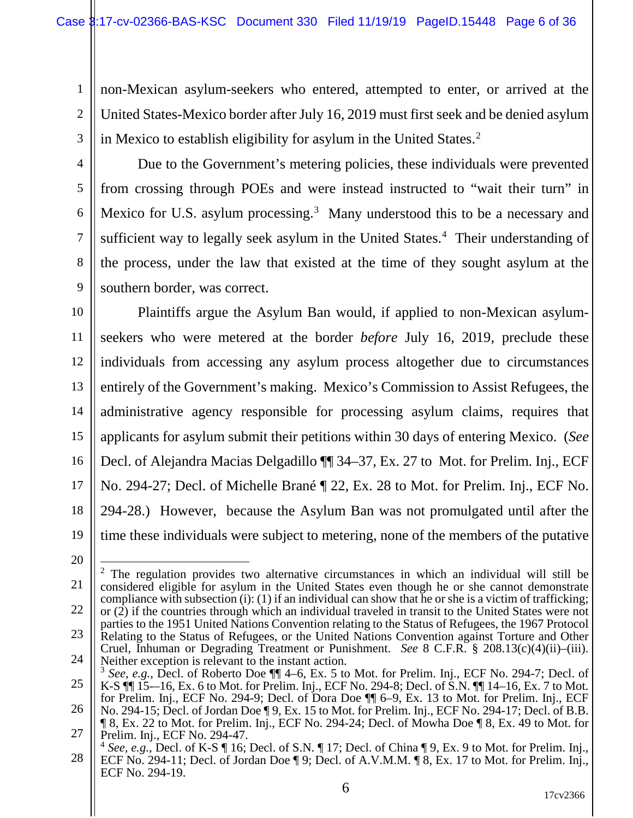1 2 3 non-Mexican asylum-seekers who entered, attempted to enter, or arrived at the United States-Mexico border after July 16, 2019 must first seek and be denied asylum in Mexico to establish eligibility for asylum in the United States. [2](#page-5-0)

4

5

6

7

8

9

Due to the Government's metering policies, these individuals were prevented from crossing through POEs and were instead instructed to "wait their turn" in Mexico for U.S. asylum processing.<sup>[3](#page-5-1)</sup> Many understood this to be a necessary and sufficient way to legally seek asylum in the United States.<sup>[4](#page-5-2)</sup> Their understanding of the process, under the law that existed at the time of they sought asylum at the southern border, was correct.

10 11 12 13 14 15 16 17 18 19 Plaintiffs argue the Asylum Ban would, if applied to non-Mexican asylumseekers who were metered at the border *before* July 16, 2019, preclude these individuals from accessing any asylum process altogether due to circumstances entirely of the Government's making. Mexico's Commission to Assist Refugees, the administrative agency responsible for processing asylum claims, requires that applicants for asylum submit their petitions within 30 days of entering Mexico. (*See* Decl. of Alejandra Macias Delgadillo ¶¶ 34–37, Ex. 27 to Mot. for Prelim. Inj., ECF No. 294-27; Decl. of Michelle Brané ¶ 22, Ex. 28 to Mot. for Prelim. Inj., ECF No. 294-28.) However, because the Asylum Ban was not promulgated until after the time these individuals were subject to metering, none of the members of the putative

20

<span id="page-5-0"></span>21 22 23 24 <sup>2</sup> The regulation provides two alternative circumstances in which an individual will still be considered eligible for asylum in the United States even though he or she cannot demonstrate compliance with subsection (i): (1) if an individual can show that he or she is a victim of trafficking; or (2) if the countries through which an individual traveled in transit to the United States were not parties to the 1951 United Nations Convention relating to the Status of Refugees, the 1967 Protocol Relating to the Status of Refugees, or the United Nations Convention against Torture and Other Cruel, Inhuman or Degrading Treatment or Punishment. *See* 8 C.F.R. § 208.13(c)(4)(ii)–(iii).

<sup>25</sup> Neither exception is relevant to the instant action. <sup>3</sup> *See, e.g.*, Decl. of Roberto Doe ¶¶ 4–6, Ex. 5 to Mot. for Prelim. Inj., ECF No. 294-7; Decl. of K-S ¶¶ 15-–16, Ex. 6 to Mot. for Prelim. Inj., ECF No. 294-8; Decl. of S.N. ¶¶ 14–16, Ex. 7 to Mot.

<span id="page-5-1"></span><sup>26</sup> for Prelim. Inj., ECF No. 294-9; Decl. of Dora Doe ¶¶ 6–9, Ex. 13 to Mot. for Prelim. Inj., ECF No. 294-15; Decl. of Jordan Doe ¶ 9, Ex. 15 to Mot. for Prelim. Inj., ECF No. 294-17; Decl. of B.B.

<sup>27</sup> ¶ 8, Ex. 22 to Mot. for Prelim. Inj., ECF No. 294-24; Decl. of Mowha Doe ¶ 8, Ex. 49 to Mot. for Prelim. Inj., ECF No. 294-47.

<span id="page-5-2"></span><sup>28</sup> <sup>4</sup> *See, e.g.*, Decl. of K-S ¶ 16; Decl. of S.N. ¶ 17; Decl. of China ¶ 9, Ex. 9 to Mot. for Prelim. Inj., ECF No. 294-11; Decl. of Jordan Doe ¶ 9; Decl. of A.V.M.M. ¶ 8, Ex. 17 to Mot. for Prelim. Inj., ECF No. 294-19.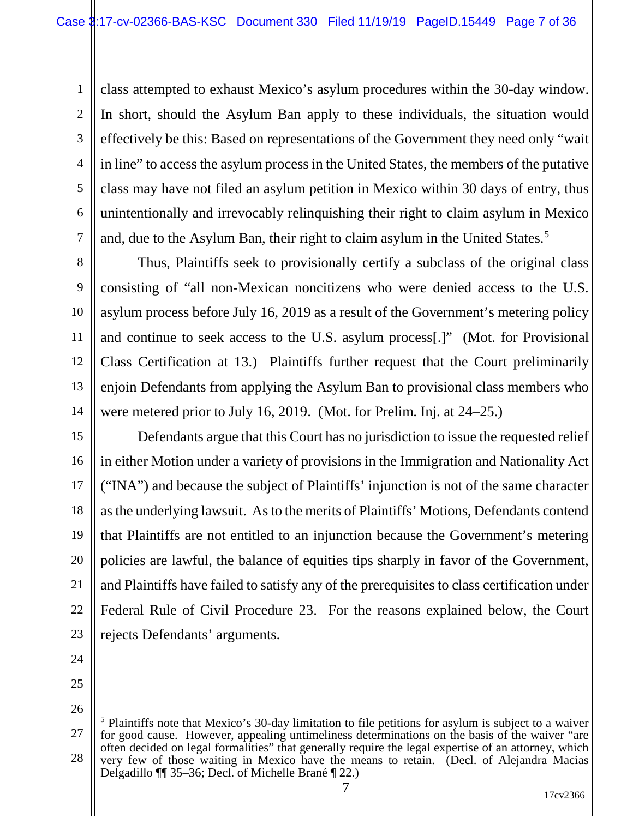1 2 3 4 5 6 7 class attempted to exhaust Mexico's asylum procedures within the 30-day window. In short, should the Asylum Ban apply to these individuals, the situation would effectively be this: Based on representations of the Government they need only "wait in line" to access the asylum process in the United States, the members of the putative class may have not filed an asylum petition in Mexico within 30 days of entry, thus unintentionally and irrevocably relinquishing their right to claim asylum in Mexico and, due to the Asylum Ban, their right to claim asylum in the United States. [5](#page-6-0)

8 9 10 11 12 13 14 Thus, Plaintiffs seek to provisionally certify a subclass of the original class consisting of "all non-Mexican noncitizens who were denied access to the U.S. asylum process before July 16, 2019 as a result of the Government's metering policy and continue to seek access to the U.S. asylum process[.]" (Mot. for Provisional Class Certification at 13.) Plaintiffs further request that the Court preliminarily enjoin Defendants from applying the Asylum Ban to provisional class members who were metered prior to July 16, 2019. (Mot. for Prelim. Inj. at 24–25.)

15 16 17 18 19 20 21 22 23 Defendants argue that this Court has no jurisdiction to issue the requested relief in either Motion under a variety of provisions in the Immigration and Nationality Act ("INA") and because the subject of Plaintiffs' injunction is not of the same character as the underlying lawsuit. As to the merits of Plaintiffs' Motions, Defendants contend that Plaintiffs are not entitled to an injunction because the Government's metering policies are lawful, the balance of equities tips sharply in favor of the Government, and Plaintiffs have failed to satisfy any of the prerequisites to class certification under Federal Rule of Civil Procedure 23. For the reasons explained below, the Court rejects Defendants' arguments.

- 24
- 25 26

<span id="page-6-0"></span><sup>27</sup> 28 5 Plaintiffs note that Mexico's 30-day limitation to file petitions for asylum is subject to a waiver for good cause. However, appealing untimeliness determinations on the basis of the waiver "are often decided on legal formalities" that generally require the legal expertise of an attorney, which very few of those waiting in Mexico have the means to retain. (Decl. of Alejandra Macias Delgadillo ¶¶ 35–36; Decl. of Michelle Brané ¶ 22.)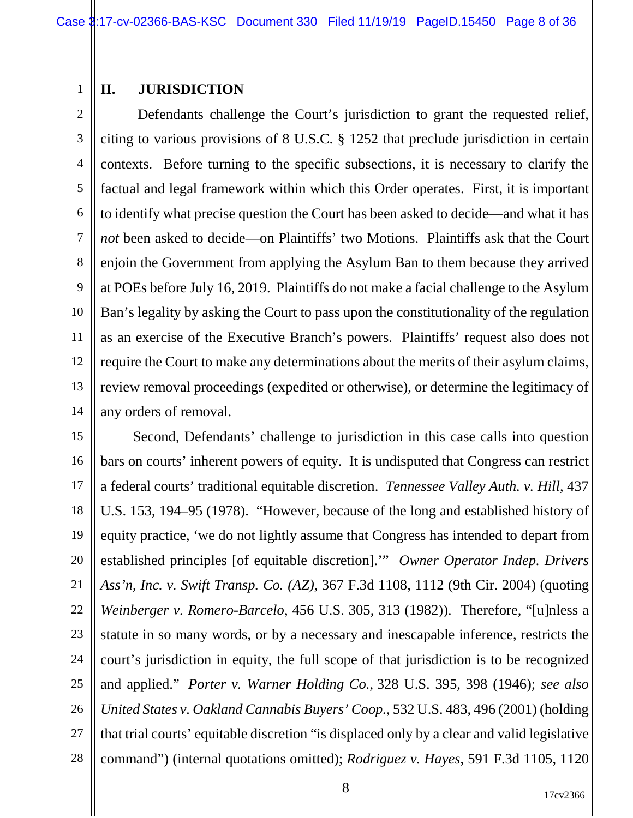#### 1 **II. JURISDICTION**

2 3 4 5 6 7 8 9 10 11 12 13 14 Defendants challenge the Court's jurisdiction to grant the requested relief, citing to various provisions of 8 U.S.C. § 1252 that preclude jurisdiction in certain contexts. Before turning to the specific subsections, it is necessary to clarify the factual and legal framework within which this Order operates. First, it is important to identify what precise question the Court has been asked to decide—and what it has *not* been asked to decide—on Plaintiffs' two Motions. Plaintiffs ask that the Court enjoin the Government from applying the Asylum Ban to them because they arrived at POEs before July 16, 2019. Plaintiffs do not make a facial challenge to the Asylum Ban's legality by asking the Court to pass upon the constitutionality of the regulation as an exercise of the Executive Branch's powers. Plaintiffs' request also does not require the Court to make any determinations about the merits of their asylum claims, review removal proceedings (expedited or otherwise), or determine the legitimacy of any orders of removal.

15 16 17 18 19 20 21 22 23 24 25 26 27 28 Second, Defendants' challenge to jurisdiction in this case calls into question bars on courts' inherent powers of equity. It is undisputed that Congress can restrict a federal courts' traditional equitable discretion. *Tennessee Valley Auth. v. Hill*, 437 U.S. 153, 194–95 (1978). "However, because of the long and established history of equity practice, 'we do not lightly assume that Congress has intended to depart from established principles [of equitable discretion].'" *Owner Operator Indep. Drivers Ass'n, Inc. v. Swift Transp. Co. (AZ)*, 367 F.3d 1108, 1112 (9th Cir. 2004) (quoting *Weinberger v. Romero-Barcelo*, 456 U.S. 305, 313 (1982)). Therefore, "[u]nless a statute in so many words, or by a necessary and inescapable inference, restricts the court's jurisdiction in equity, the full scope of that jurisdiction is to be recognized and applied." *Porter v. Warner Holding Co.*, 328 U.S. 395, 398 (1946); *see also United States v. Oakland Cannabis Buyers' Coop.*, 532 U.S. 483, 496 (2001) (holding that trial courts' equitable discretion "is displaced only by a clear and valid legislative command") (internal quotations omitted); *Rodriguez v. Hayes*, 591 F.3d 1105, 1120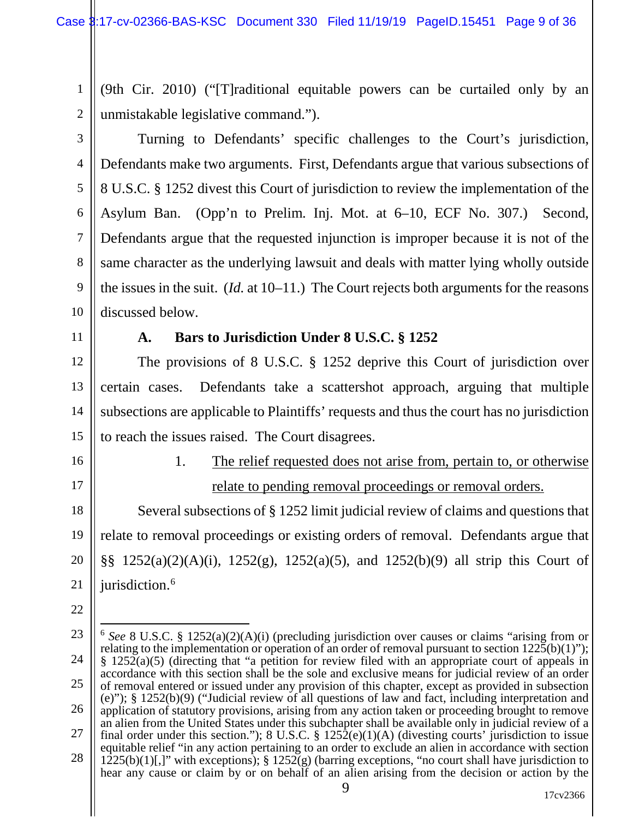1 2 (9th Cir. 2010) ("[T]raditional equitable powers can be curtailed only by an unmistakable legislative command.").

3 4 5 6 7 8 9 10 Turning to Defendants' specific challenges to the Court's jurisdiction, Defendants make two arguments. First, Defendants argue that various subsections of 8 U.S.C. § 1252 divest this Court of jurisdiction to review the implementation of the Asylum Ban. (Opp'n to Prelim. Inj. Mot. at 6–10, ECF No. 307.) Second, Defendants argue that the requested injunction is improper because it is not of the same character as the underlying lawsuit and deals with matter lying wholly outside the issues in the suit. (*Id.* at 10–11.) The Court rejects both arguments for the reasons discussed below.

11

### **A. Bars to Jurisdiction Under 8 U.S.C. § 1252**

12 13 14 15 The provisions of 8 U.S.C. § 1252 deprive this Court of jurisdiction over certain cases. Defendants take a scattershot approach, arguing that multiple subsections are applicable to Plaintiffs' requests and thus the court has no jurisdiction to reach the issues raised. The Court disagrees.

- 16
- 17

# 1. The relief requested does not arise from, pertain to, or otherwise relate to pending removal proceedings or removal orders.

18 19 20 21 Several subsections of § 1252 limit judicial review of claims and questions that relate to removal proceedings or existing orders of removal. Defendants argue that §§ 1252(a)(2)(A)(i), 1252(g), 1252(a)(5), and 1252(b)(9) all strip this Court of jurisdiction.<sup>[6](#page-8-0)</sup>

<span id="page-8-0"></span><sup>23</sup> 24 25 26 27 28 6 *See* 8 U.S.C. § 1252(a)(2)(A)(i) (precluding jurisdiction over causes or claims "arising from or relating to the implementation or operation of an order of removal pursuant to section 1225(b)(1)"); § 1252(a)(5) (directing that "a petition for review filed with an appropriate court of appeals in accordance with this section shall be the sole and exclusive means for judicial review of an order of removal entered or issued under any provision of this chapter, except as provided in subsection (e)"); § 1252(b)(9) ("Judicial review of all questions of law and fact, including interpretation and application of statutory provisions, arising from any action taken or proceeding brought to remove an alien from the United States under this subchapter shall be available only in judicial review of a final order under this section."); 8 U.S.C. §  $1252(e)(1)(A)$  (divesting courts' jurisdiction to issue equitable relief "in any action pertaining to an order to exclude an alien in accordance with section 1225(b)(1)[,]" with exceptions); § 1252(g) (barring exceptions, "no court shall have jurisdiction to hear any cause or claim by or on behalf of an alien arising from the decision or action by the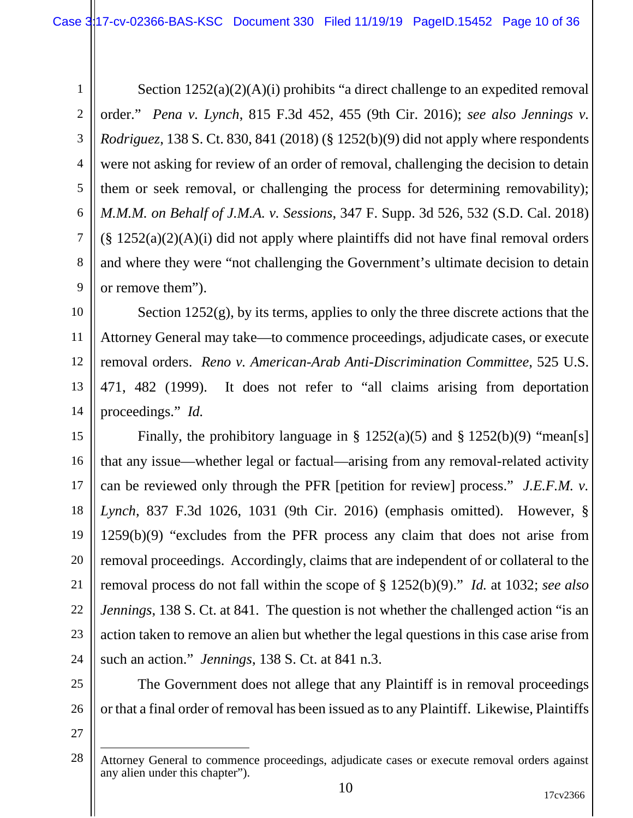1 2 3 4 5 6 7 8 9 Section 1252(a)(2)(A)(i) prohibits "a direct challenge to an expedited removal order." *Pena v. Lynch*, 815 F.3d 452, 455 (9th Cir. 2016); *see also Jennings v. Rodriguez*, 138 S. Ct. 830, 841 (2018) (§ 1252(b)(9) did not apply where respondents were not asking for review of an order of removal, challenging the decision to detain them or seek removal, or challenging the process for determining removability); *M.M.M. on Behalf of J.M.A. v. Sessions*, 347 F. Supp. 3d 526, 532 (S.D. Cal. 2018)  $(\S 1252(a)(2)(A)(i)$  did not apply where plaintiffs did not have final removal orders and where they were "not challenging the Government's ultimate decision to detain or remove them").

10 11 12 13 14 Section  $1252(g)$ , by its terms, applies to only the three discrete actions that the Attorney General may take—to commence proceedings, adjudicate cases, or execute removal orders. *Reno v. American-Arab Anti-Discrimination Committee*, 525 U.S. 471, 482 (1999). It does not refer to "all claims arising from deportation proceedings." *Id.*

15 16 17 18 19 20 21 22 23 24 Finally, the prohibitory language in §  $1252(a)(5)$  and §  $1252(b)(9)$  "mean[s] that any issue—whether legal or factual—arising from any removal-related activity can be reviewed only through the PFR [petition for review] process." *J.E.F.M. v. Lynch*, 837 F.3d 1026, 1031 (9th Cir. 2016) (emphasis omitted). However, §  $1259(b)(9)$  "excludes from the PFR process any claim that does not arise from removal proceedings. Accordingly, claims that are independent of or collateral to the removal process do not fall within the scope of § 1252(b)(9)." *Id.* at 1032; *see also Jennings*, 138 S. Ct. at 841. The question is not whether the challenged action "is an action taken to remove an alien but whether the legal questions in this case arise from such an action." *Jennings*, 138 S. Ct. at 841 n.3.

25 26 The Government does not allege that any Plaintiff is in removal proceedings or that a final order of removal has been issued as to any Plaintiff. Likewise, Plaintiffs

<sup>28</sup> Attorney General to commence proceedings, adjudicate cases or execute removal orders against any alien under this chapter").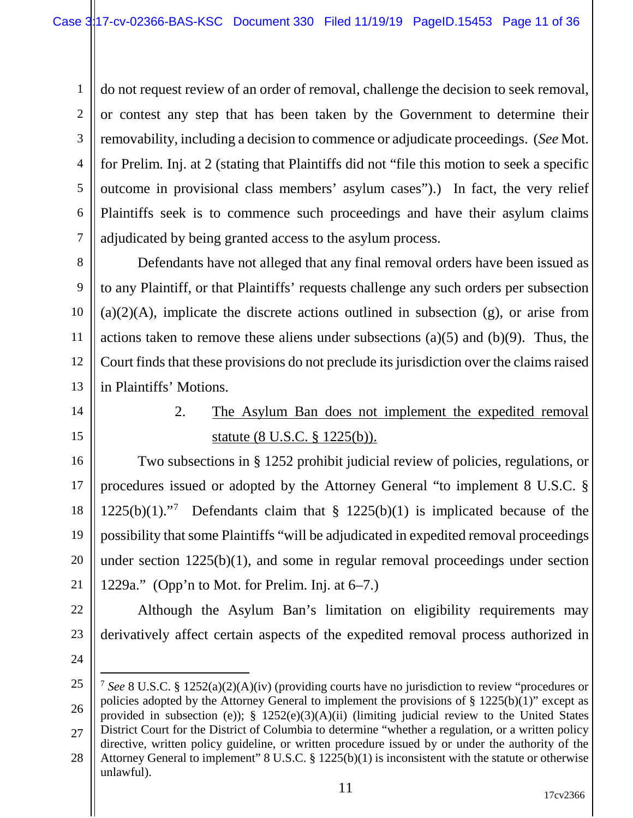1 2 3 4 5 6 7 do not request review of an order of removal, challenge the decision to seek removal, or contest any step that has been taken by the Government to determine their removability, including a decision to commence or adjudicate proceedings. (*See* Mot. for Prelim. Inj. at 2 (stating that Plaintiffs did not "file this motion to seek a specific outcome in provisional class members' asylum cases").) In fact, the very relief Plaintiffs seek is to commence such proceedings and have their asylum claims adjudicated by being granted access to the asylum process.

8 9 10 11 12 13 Defendants have not alleged that any final removal orders have been issued as to any Plaintiff, or that Plaintiffs' requests challenge any such orders per subsection  $(a)(2)(A)$ , implicate the discrete actions outlined in subsection  $(g)$ , or arise from actions taken to remove these aliens under subsections  $(a)(5)$  and  $(b)(9)$ . Thus, the Court finds that these provisions do not preclude its jurisdiction over the claims raised in Plaintiffs' Motions.

- 14
- 15

2. The Asylum Ban does not implement the expedited removal statute (8 U.S.C. § 1225(b)).

16 17 18 19 20 21 Two subsections in § 1252 prohibit judicial review of policies, regulations, or procedures issued or adopted by the Attorney General "to implement 8 U.S.C. §  $1225(b)(1)$ ."<sup>[7](#page-10-0)</sup> Defendants claim that §  $1225(b)(1)$  is implicated because of the possibility that some Plaintiffs "will be adjudicated in expedited removal proceedings under section 1225(b)(1), and some in regular removal proceedings under section 1229a." (Opp'n to Mot. for Prelim. Inj. at 6–7.)

Although the Asylum Ban's limitation on eligibility requirements may

derivatively affect certain aspects of the expedited removal process authorized in

22

23

<span id="page-10-0"></span><sup>25</sup> 26 27 7 *See* 8 U.S.C. § 1252(a)(2)(A)(iv) (providing courts have no jurisdiction to review "procedures or policies adopted by the Attorney General to implement the provisions of  $\S 1225(b)(1)$ " except as provided in subsection (e)); § 1252(e)(3)(A)(ii) (limiting judicial review to the United States District Court for the District of Columbia to determine "whether a regulation, or a written policy directive, written policy guideline, or written procedure issued by or under the authority of the

<sup>28</sup> Attorney General to implement" 8 U.S.C. § 1225(b)(1) is inconsistent with the statute or otherwise unlawful).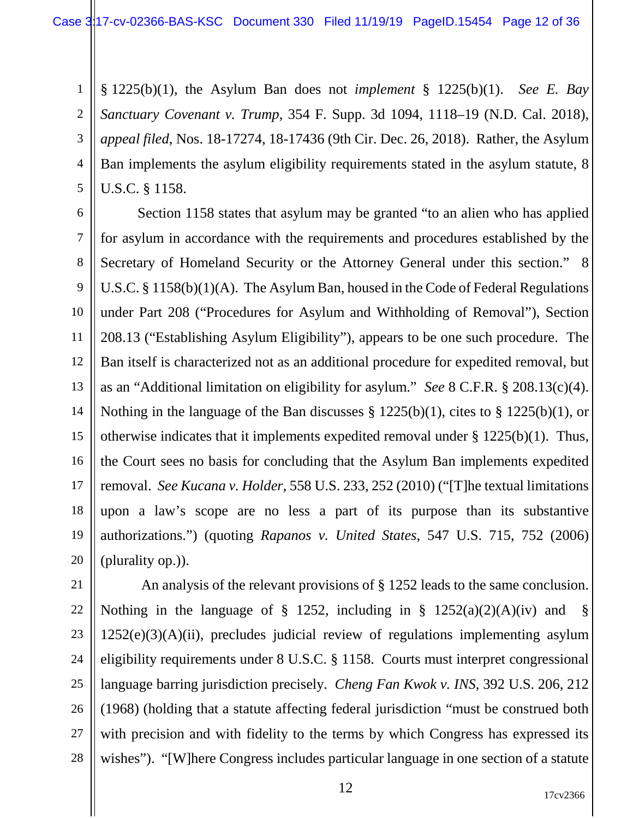1 2 3 4 5 § 1225(b)(1), the Asylum Ban does not *implement* § 1225(b)(1). *See E. Bay Sanctuary Covenant v. Trump*, 354 F. Supp. 3d 1094, 1118–19 (N.D. Cal. 2018), *appeal filed*, Nos. 18-17274, 18-17436 (9th Cir. Dec. 26, 2018). Rather, the Asylum Ban implements the asylum eligibility requirements stated in the asylum statute, 8 U.S.C. § 1158.

6 7 8 9 10 11 12 13 14 15 16 17 18 19 20 Section 1158 states that asylum may be granted "to an alien who has applied for asylum in accordance with the requirements and procedures established by the Secretary of Homeland Security or the Attorney General under this section." 8 U.S.C. § 1158(b)(1)(A). The Asylum Ban, housed in the Code of Federal Regulations under Part 208 ("Procedures for Asylum and Withholding of Removal"), Section 208.13 ("Establishing Asylum Eligibility"), appears to be one such procedure. The Ban itself is characterized not as an additional procedure for expedited removal, but as an "Additional limitation on eligibility for asylum." *See* 8 C.F.R. § 208.13(c)(4). Nothing in the language of the Ban discusses § 1225(b)(1), cites to § 1225(b)(1), or otherwise indicates that it implements expedited removal under § 1225(b)(1). Thus, the Court sees no basis for concluding that the Asylum Ban implements expedited removal. *See Kucana v. Holder*, 558 U.S. 233, 252 (2010) ("[T]he textual limitations upon a law's scope are no less a part of its purpose than its substantive authorizations.") (quoting *Rapanos v. United States*, 547 U.S. 715, 752 (2006) (plurality op.)).

21 22 23 24 25 26 27 28 An analysis of the relevant provisions of § 1252 leads to the same conclusion. Nothing in the language of § 1252, including in §  $1252(a)(2)(A)(iv)$  and §  $1252(e)(3)(A)(ii)$ , precludes judicial review of regulations implementing asylum eligibility requirements under 8 U.S.C. § 1158. Courts must interpret congressional language barring jurisdiction precisely. *Cheng Fan Kwok v. INS*, 392 U.S. 206, 212 (1968) (holding that a statute affecting federal jurisdiction "must be construed both with precision and with fidelity to the terms by which Congress has expressed its wishes"). "[W]here Congress includes particular language in one section of a statute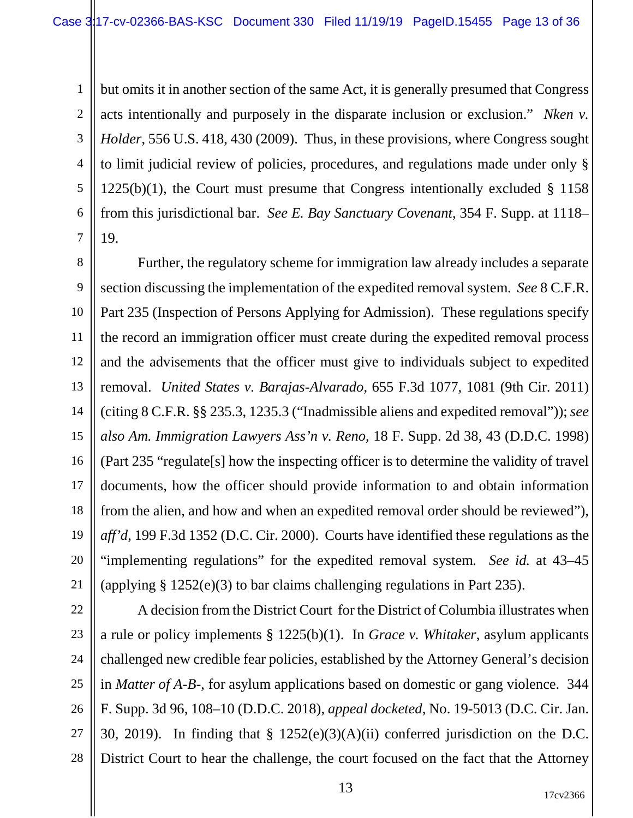1 2 3 4 5 6 7 but omits it in another section of the same Act, it is generally presumed that Congress acts intentionally and purposely in the disparate inclusion or exclusion." *Nken v. Holder*, 556 U.S. 418, 430 (2009). Thus, in these provisions, where Congress sought to limit judicial review of policies, procedures, and regulations made under only §  $1225(b)(1)$ , the Court must presume that Congress intentionally excluded § 1158 from this jurisdictional bar. *See E. Bay Sanctuary Covenant*, 354 F. Supp. at 1118– 19.

8 9 10 11 12 13 14 15 16 17 18 19 20 21 Further, the regulatory scheme for immigration law already includes a separate section discussing the implementation of the expedited removal system. *See* 8 C.F.R. Part 235 (Inspection of Persons Applying for Admission). These regulations specify the record an immigration officer must create during the expedited removal process and the advisements that the officer must give to individuals subject to expedited removal. *United States v. Barajas-Alvarado*, 655 F.3d 1077, 1081 (9th Cir. 2011) (citing 8 C.F.R. [§§ 235.3,](https://1.next.westlaw.com/Link/Document/FullText?findType=L&pubNum=1000547&cite=8CFRS1235.3&originatingDoc=I6375359ece5611e0a9e5bdc02ef2b18e&refType=RB&originationContext=document&transitionType=DocumentItem&contextData=(sc.UserEnteredCitation)#co_pp_c42a000095be5) 1235.3 ("Inadmissible aliens and expedited removal")); *see also Am. Immigration Lawyers Ass'n v. Reno*, 18 F. Supp. 2d 38, 43 (D.D.C. 1998) (Part 235 "regulate[s] how the inspecting officer is to determine the validity of travel documents, how the officer should provide information to and obtain information from the alien, and how and when an expedited removal order should be reviewed"), *aff'd*, 199 F.3d 1352 (D.C. Cir. 2000). Courts have identified these regulations as the "implementing regulations" for the expedited removal system*. See id.* at 43–45 (applying § 1252(e)(3) to bar claims challenging regulations in Part 235).

22 23 24 25 26 27 28 A decision from the District Court for the District of Columbia illustrates when a rule or policy implements § 1225(b)(1). In *Grace v. Whitaker*, asylum applicants challenged new credible fear policies, established by the Attorney General's decision in *Matter of A-B-*, for asylum applications based on domestic or gang violence. 344 F. Supp. 3d 96, 108–10 (D.D.C. 2018), *appeal docketed*, No. 19-5013 (D.C. Cir. Jan. 30, 2019). In finding that § 1252(e)(3)(A)(ii) conferred jurisdiction on the D.C. District Court to hear the challenge, the court focused on the fact that the Attorney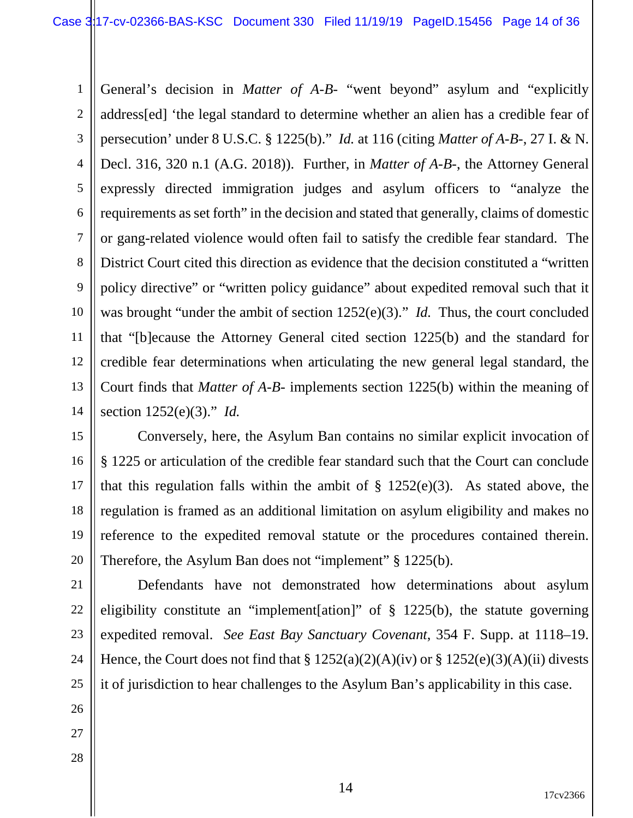1 2 3 4 5 6 7 8 9 10 11 12 13 14 General's decision in *Matter of A-B-* "went beyond" asylum and "explicitly address[ed] 'the legal standard to determine whether an alien has a credible fear of persecution' under 8 U.S.C. § 1225(b)." *Id.* at 116 (citing *Matter of A-B-*, 27 I. & N. Decl. 316, 320 n.1 (A.G. 2018)). Further, in *Matter of A-B-*, the Attorney General expressly directed immigration judges and asylum officers to "analyze the requirements as set forth" in the decision and stated that generally, claims of domestic or gang-related violence would often fail to satisfy the credible fear standard. The District Court cited this direction as evidence that the decision constituted a "written policy directive" or "written policy guidance" about expedited removal such that it was brought "under the ambit of section 1252(e)(3)." *Id.* Thus, the court concluded that "[b]ecause the Attorney General cited section 1225(b) and the standard for credible fear determinations when articulating the new general legal standard, the Court finds that *Matter of A-B-* implements section 1225(b) within the meaning of section 1252(e)(3)." *Id.*

15 16 17 18 19 20 Conversely, here, the Asylum Ban contains no similar explicit invocation of § 1225 or articulation of the credible fear standard such that the Court can conclude that this regulation falls within the ambit of  $\S$  1252(e)(3). As stated above, the regulation is framed as an additional limitation on asylum eligibility and makes no reference to the expedited removal statute or the procedures contained therein. Therefore, the Asylum Ban does not "implement" § 1225(b).

21 22 23 24 25 Defendants have not demonstrated how determinations about asylum eligibility constitute an "implement[ation]" of § 1225(b), the statute governing expedited removal. *See East Bay Sanctuary Covenant*, 354 F. Supp. at 1118–19. Hence, the Court does not find that  $\S 1252(a)(2)(A)(iv)$  or  $\S 1252(e)(3)(A)(ii)$  divests it of jurisdiction to hear challenges to the Asylum Ban's applicability in this case.

- 26
- 27
- 28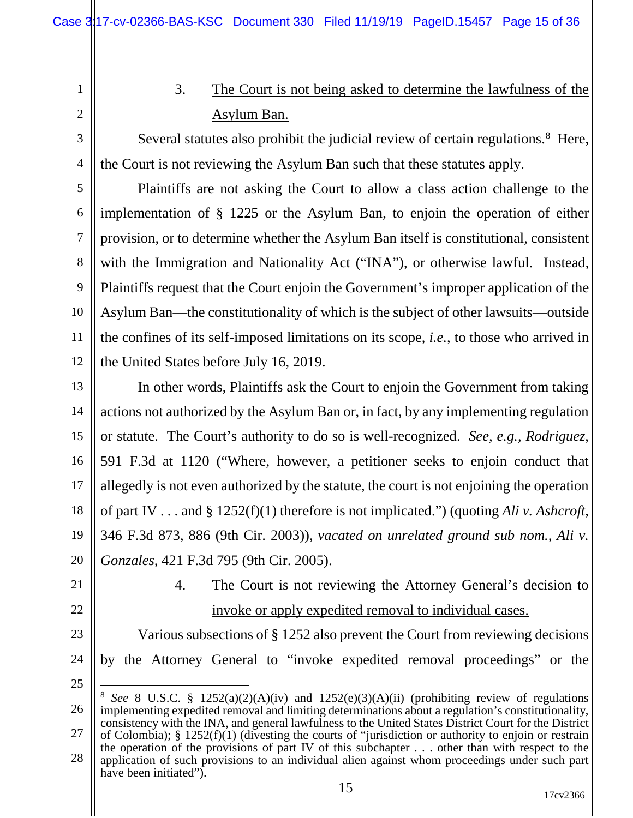1 2

3

4

3. The Court is not being asked to determine the lawfulness of the Asylum Ban.

Several statutes also prohibit the judicial review of certain regulations.<sup>[8](#page-14-0)</sup> Here, the Court is not reviewing the Asylum Ban such that these statutes apply.

5 6 7 8 9 10 11 12 Plaintiffs are not asking the Court to allow a class action challenge to the implementation of § 1225 or the Asylum Ban, to enjoin the operation of either provision, or to determine whether the Asylum Ban itself is constitutional, consistent with the Immigration and Nationality Act ("INA"), or otherwise lawful. Instead, Plaintiffs request that the Court enjoin the Government's improper application of the Asylum Ban—the constitutionality of which is the subject of other lawsuits—outside the confines of its self-imposed limitations on its scope, *i.e.*, to those who arrived in the United States before July 16, 2019.

13 14 15 16 17 18 19 20 In other words, Plaintiffs ask the Court to enjoin the Government from taking actions not authorized by the Asylum Ban or, in fact, by any implementing regulation or statute. The Court's authority to do so is well-recognized. *See, e.g.*, *Rodriguez*, 591 F.3d at 1120 ("Where, however, a petitioner seeks to enjoin conduct that allegedly is not even authorized by the statute, the court is not enjoining the operation of part IV . . . and § 1252(f)(1) therefore is not implicated.") (quoting *Ali v. Ashcroft*, 346 F.3d 873, 886 (9th Cir. 2003)), *vacated on unrelated ground sub nom.*, *Ali v. Gonzales*, 421 F.3d 795 (9th Cir. 2005).

- 21
- 22
- 23
- 24

25

by the Attorney General to "invoke expedited removal proceedings" or the

4. The Court is not reviewing the Attorney General's decision to

invoke or apply expedited removal to individual cases.

Various subsections of § 1252 also prevent the Court from reviewing decisions

<span id="page-14-0"></span><sup>26</sup> 27 28 8 *See* 8 U.S.C. § 1252(a)(2)(A)(iv) and 1252(e)(3)(A)(ii) (prohibiting review of regulations implementing expedited removal and limiting determinations about a regulation's constitutionality, consistency with the INA, and general lawfulness to the United States District Court for the District of Colombia); § 1252(f)(1) (divesting the courts of "jurisdiction or authority to enjoin or restrain the operation of the provisions of part IV of this subchapter . . . other than with respect to the application of such provisions to an individual alien against whom proceedings under such part have been initiated").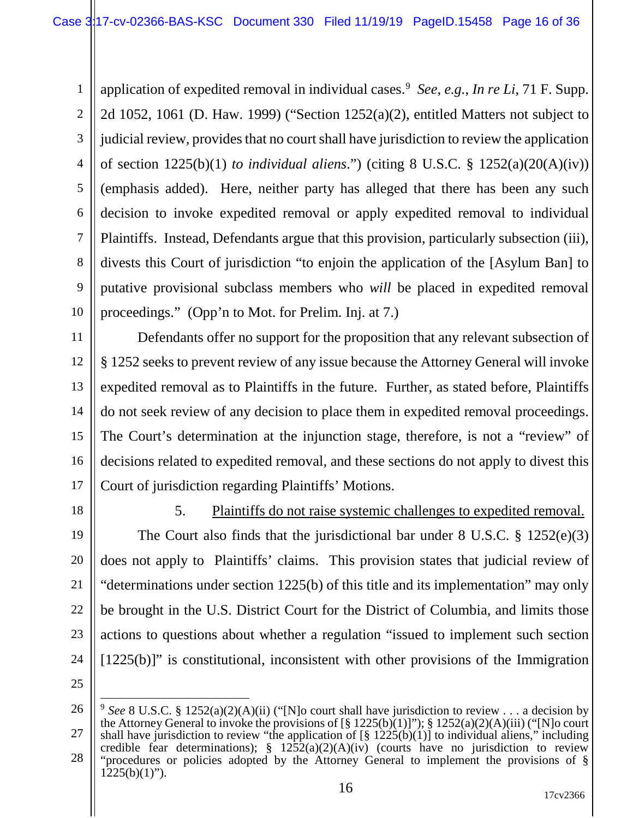1 2 3 4 5 6 7 8 9 10 application of expedited removal in individual cases.[9](#page-15-0) *See, e.g.*, *In re Li*, 71 F. Supp. 2d 1052, 1061 (D. Haw. 1999) ("Section 1252(a)(2), entitled Matters not subject to judicial review, provides that no court shall have jurisdiction to review the application of section 1225(b)(1) *to individual aliens*.") (citing 8 U.S.C. § 1252(a)(20(A)(iv)) (emphasis added). Here, neither party has alleged that there has been any such decision to invoke expedited removal or apply expedited removal to individual Plaintiffs. Instead, Defendants argue that this provision, particularly subsection (iii), divests this Court of jurisdiction "to enjoin the application of the [Asylum Ban] to putative provisional subclass members who *will* be placed in expedited removal proceedings." (Opp'n to Mot. for Prelim. Inj. at 7.)

11 12 13 14 15 16 17 Defendants offer no support for the proposition that any relevant subsection of § 1252 seeks to prevent review of any issue because the Attorney General will invoke expedited removal as to Plaintiffs in the future. Further, as stated before, Plaintiffs do not seek review of any decision to place them in expedited removal proceedings. The Court's determination at the injunction stage, therefore, is not a "review" of decisions related to expedited removal, and these sections do not apply to divest this Court of jurisdiction regarding Plaintiffs' Motions.

18

5. Plaintiffs do not raise systemic challenges to expedited removal.

19 20 21 22 23 24 The Court also finds that the jurisdictional bar under 8 U.S.C. § 1252(e)(3) does not apply to Plaintiffs' claims. This provision states that judicial review of "determinations under section 1225(b) of this title and its implementation" may only be brought in the U.S. District Court for the District of Columbia, and limits those actions to questions about whether a regulation "issued to implement such section [1225(b)]" is constitutional, inconsistent with other provisions of the Immigration

<span id="page-15-0"></span><sup>26</sup> 27 28 <sup>9</sup> *See* 8 U.S.C. § 1252(a)(2)(A)(ii) ("[N]o court shall have jurisdiction to review . . . a decision by the Attorney General to invoke the provisions of [§ 1225(b)(1)]"); § 1252(a)(2)(A)(iii) ("[N]o court shall have jurisdiction to review "the application of [§ 1225(b)(1)] to individual aliens," including credible fear determinations);  $\frac{1252(a)(2)(A)(iv)}{i}$  (courts have no jurisdiction to review "procedures or policies adopted by the Attorney General to implement the provisions of §  $1225(b)(1)$ ").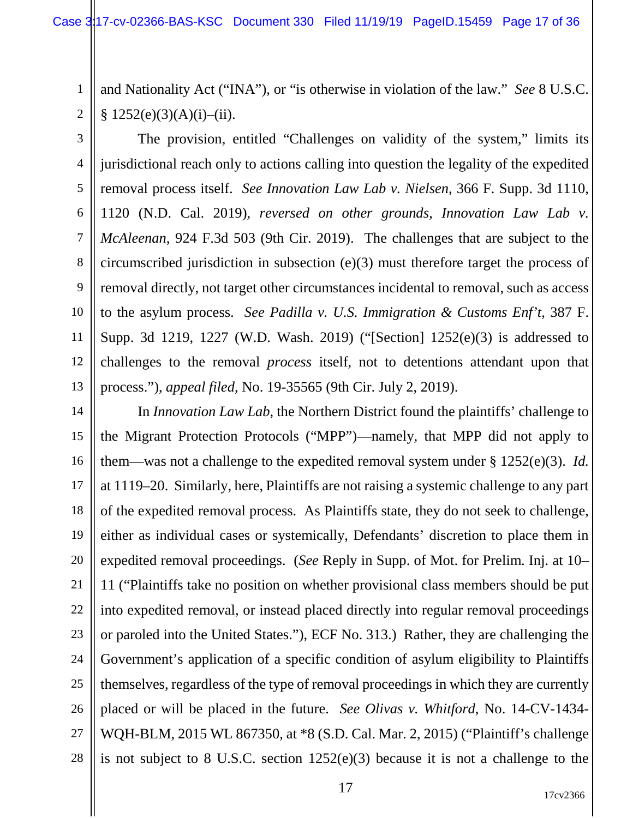1 2 and Nationality Act ("INA"), or "is otherwise in violation of the law." *See* 8 U.S.C.  $§ 1252(e)(3)(A)(i)–(ii).$ 

3 4 5 6 7 8 9 10 11 12 13 The provision, entitled "Challenges on validity of the system," limits its jurisdictional reach only to actions calling into question the legality of the expedited removal process itself. *See Innovation Law Lab v. Nielsen*, 366 F. Supp. 3d 1110, 1120 (N.D. Cal. 2019), *reversed on other grounds*, *Innovation Law Lab v. McAleenan*, 924 F.3d 503 (9th Cir. 2019). The challenges that are subject to the circumscribed jurisdiction in subsection (e)(3) must therefore target the process of removal directly, not target other circumstances incidental to removal, such as access to the asylum process. *See Padilla v. U.S. Immigration & Customs Enf't*, 387 F. Supp. 3d 1219, 1227 (W.D. Wash. 2019) ("[Section] 1252(e)(3) is addressed to challenges to the removal *process* itself, not to detentions attendant upon that process."), *appeal filed*, No. 19-35565 (9th Cir. July 2, 2019).

14 15 16 17 18 19 20 21 22 23 24 25 26 27 28 In *Innovation Law Lab*, the Northern District found the plaintiffs' challenge to the Migrant Protection Protocols ("MPP")—namely, that MPP did not apply to them—was not a challenge to the expedited removal system under § 1252(e)(3). *Id.* at 1119–20. Similarly, here, Plaintiffs are not raising a systemic challenge to any part of the expedited removal process. As Plaintiffs state, they do not seek to challenge, either as individual cases or systemically, Defendants' discretion to place them in expedited removal proceedings. (*See* Reply in Supp. of Mot. for Prelim. Inj. at 10– 11 ("Plaintiffs take no position on whether provisional class members should be put into expedited removal, or instead placed directly into regular removal proceedings or paroled into the United States."), ECF No. 313.) Rather, they are challenging the Government's application of a specific condition of asylum eligibility to Plaintiffs themselves, regardless of the type of removal proceedings in which they are currently placed or will be placed in the future. *See Olivas v. Whitford*, No. 14-CV-1434- WQH-BLM, 2015 WL 867350, at \*8 (S.D. Cal. Mar. 2, 2015) ("Plaintiff's challenge is not subject to 8 U.S.C. section 1252(e)(3) because it is not a challenge to the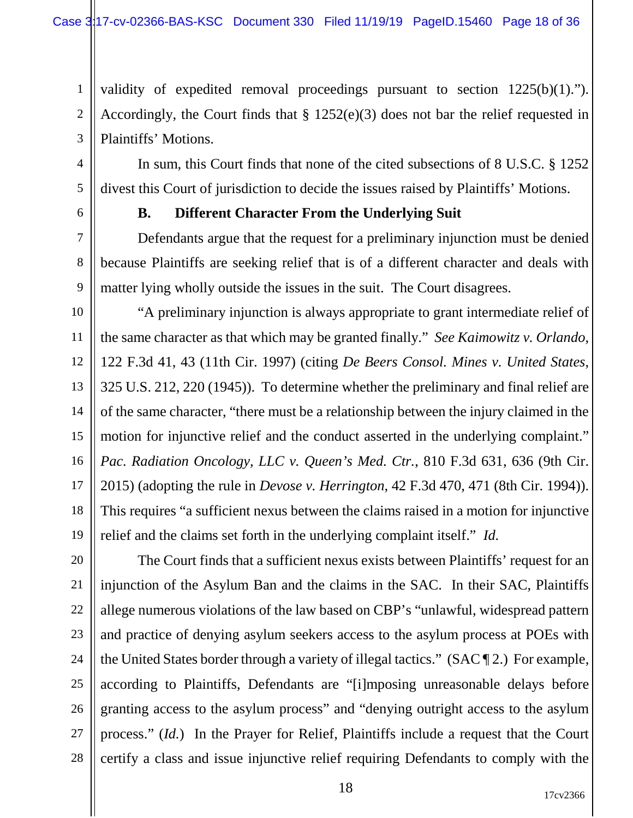validity of expedited removal proceedings pursuant to section 1225(b)(1)."). Accordingly, the Court finds that § 1252(e)(3) does not bar the relief requested in Plaintiffs' Motions.

In sum, this Court finds that none of the cited subsections of 8 U.S.C. § 1252 divest this Court of jurisdiction to decide the issues raised by Plaintiffs' Motions.

6

7

9

1

2

3

4

5

# **B. Different Character From the Underlying Suit**

8 Defendants argue that the request for a preliminary injunction must be denied because Plaintiffs are seeking relief that is of a different character and deals with matter lying wholly outside the issues in the suit. The Court disagrees.

10 11 12 13 14 15 16 17 18 19 "A preliminary injunction is always appropriate to grant intermediate relief of the same character as that which may be granted finally." *See Kaimowitz v. Orlando*, 122 F.3d 41, 43 (11th Cir. 1997) (citing *De Beers Consol. Mines v. United States*, 325 U.S. 212, 220 (1945)). To determine whether the preliminary and final relief are of the same character, "there must be a relationship between the injury claimed in the motion for injunctive relief and the conduct asserted in the underlying complaint." *Pac. Radiation Oncology, LLC v. Queen's Med. Ctr.*, 810 F.3d 631, 636 (9th Cir. 2015) (adopting the rule in *Devose v. Herrington*, 42 F.3d 470, 471 (8th Cir. 1994)). This requires "a sufficient nexus between the claims raised in a motion for injunctive relief and the claims set forth in the underlying complaint itself." *Id.*

20 21 22 23 24 25 26 27 28 The Court finds that a sufficient nexus exists between Plaintiffs' request for an injunction of the Asylum Ban and the claims in the SAC. In their SAC, Plaintiffs allege numerous violations of the law based on CBP's "unlawful, widespread pattern and practice of denying asylum seekers access to the asylum process at POEs with the United States border through a variety of illegal tactics." (SAC ¶ 2.) For example, according to Plaintiffs, Defendants are "[i]mposing unreasonable delays before granting access to the asylum process" and "denying outright access to the asylum process." (*Id.*) In the Prayer for Relief, Plaintiffs include a request that the Court certify a class and issue injunctive relief requiring Defendants to comply with the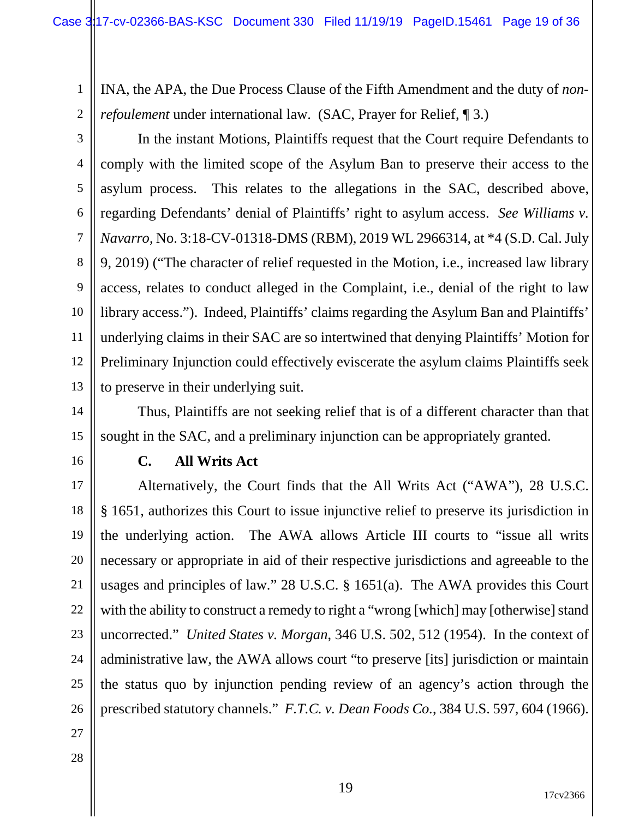1 2 INA, the APA, the Due Process Clause of the Fifth Amendment and the duty of *nonrefoulement* under international law. (SAC, Prayer for Relief, 13.)

3 4 5 6 7 8 9 10 11 12 13 In the instant Motions, Plaintiffs request that the Court require Defendants to comply with the limited scope of the Asylum Ban to preserve their access to the asylum process. This relates to the allegations in the SAC, described above, regarding Defendants' denial of Plaintiffs' right to asylum access. *See Williams v. Navarro*, No. 3:18-CV-01318-DMS (RBM), 2019 WL 2966314, at \*4 (S.D. Cal. July 9, 2019) ("The character of relief requested in the Motion, i.e., increased law library access, relates to conduct alleged in the Complaint, i.e., denial of the right to law library access."). Indeed, Plaintiffs' claims regarding the Asylum Ban and Plaintiffs' underlying claims in their SAC are so intertwined that denying Plaintiffs' Motion for Preliminary Injunction could effectively eviscerate the asylum claims Plaintiffs seek to preserve in their underlying suit.

14 15 Thus, Plaintiffs are not seeking relief that is of a different character than that sought in the SAC, and a preliminary injunction can be appropriately granted.

16

#### **C. All Writs Act**

17 18 19 20 21 22 23 24 25 26 Alternatively, the Court finds that the All Writs Act ("AWA"), 28 U.S.C. § 1651, authorizes this Court to issue injunctive relief to preserve its jurisdiction in the underlying action. The AWA allows Article III courts to "issue all writs necessary or appropriate in aid of their respective jurisdictions and agreeable to the usages and principles of law." 28 U.S.C. § 1651(a). The AWA provides this Court with the ability to construct a remedy to right a "wrong [which] may [otherwise] stand uncorrected." *United States v. Morgan*, 346 U.S. 502, 512 (1954). In the context of administrative law, the AWA allows court "to preserve [its] jurisdiction or maintain the status quo by injunction pending review of an agency's action through the prescribed statutory channels." *F.T.C. v. Dean Foods Co.*, 384 U.S. 597, 604 (1966).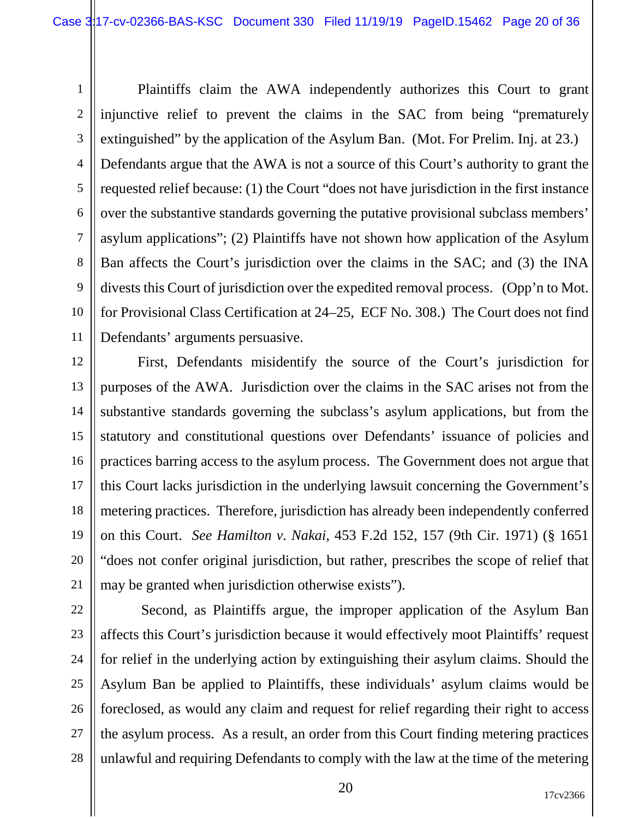1 2 3 4 5 6 7 8 9 10 11 Plaintiffs claim the AWA independently authorizes this Court to grant injunctive relief to prevent the claims in the SAC from being "prematurely extinguished" by the application of the Asylum Ban. (Mot. For Prelim. Inj. at 23.) Defendants argue that the AWA is not a source of this Court's authority to grant the requested relief because: (1) the Court "does not have jurisdiction in the first instance over the substantive standards governing the putative provisional subclass members' asylum applications"; (2) Plaintiffs have not shown how application of the Asylum Ban affects the Court's jurisdiction over the claims in the SAC; and (3) the INA divests this Court of jurisdiction over the expedited removal process. (Opp'n to Mot. for Provisional Class Certification at 24–25, ECF No. 308.) The Court does not find Defendants' arguments persuasive.

12 13 14 15 16 17 18 19 20 21 First, Defendants misidentify the source of the Court's jurisdiction for purposes of the AWA. Jurisdiction over the claims in the SAC arises not from the substantive standards governing the subclass's asylum applications, but from the statutory and constitutional questions over Defendants' issuance of policies and practices barring access to the asylum process. The Government does not argue that this Court lacks jurisdiction in the underlying lawsuit concerning the Government's metering practices. Therefore, jurisdiction has already been independently conferred on this Court. *See Hamilton v. Nakai*, 453 F.2d 152, 157 (9th Cir. 1971) (§ 1651 "does not confer original jurisdiction, but rather, prescribes the scope of relief that may be granted when jurisdiction otherwise exists").

22 23 24 25 26 27 28 Second, as Plaintiffs argue, the improper application of the Asylum Ban affects this Court's jurisdiction because it would effectively moot Plaintiffs' request for relief in the underlying action by extinguishing their asylum claims. Should the Asylum Ban be applied to Plaintiffs, these individuals' asylum claims would be foreclosed, as would any claim and request for relief regarding their right to access the asylum process. As a result, an order from this Court finding metering practices unlawful and requiring Defendants to comply with the law at the time of the metering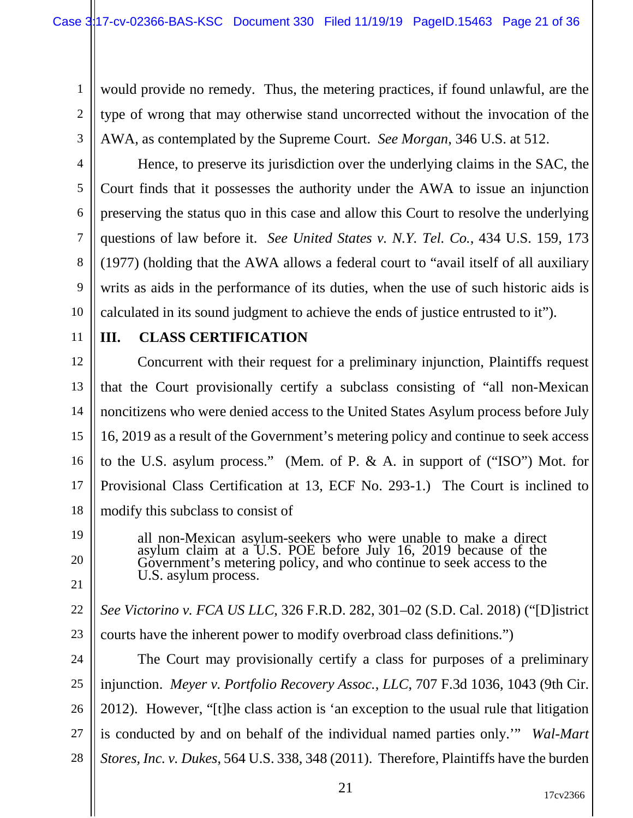1 2 3 would provide no remedy. Thus, the metering practices, if found unlawful, are the type of wrong that may otherwise stand uncorrected without the invocation of the AWA, as contemplated by the Supreme Court. *See Morgan*, 346 U.S. at 512.

4 5 6 7 8 9 10 Hence, to preserve its jurisdiction over the underlying claims in the SAC, the Court finds that it possesses the authority under the AWA to issue an injunction preserving the status quo in this case and allow this Court to resolve the underlying questions of law before it. *See United States v. N.Y. Tel. Co.*, 434 U.S. 159, 173 (1977) (holding that the AWA allows a federal court to "avail itself of all auxiliary writs as aids in the performance of its duties, when the use of such historic aids is calculated in its sound judgment to achieve the ends of justice entrusted to it").

11

19

20

21

# **III. CLASS CERTIFICATION**

12 13 14 15 16 17 18 Concurrent with their request for a preliminary injunction, Plaintiffs request that the Court provisionally certify a subclass consisting of "all non-Mexican noncitizens who were denied access to the United States Asylum process before July 16, 2019 as a result of the Government's metering policy and continue to seek access to the U.S. asylum process." (Mem. of P. & A. in support of ("ISO") Mot. for Provisional Class Certification at 13, ECF No. 293-1.) The Court is inclined to modify this subclass to consist of

> all non-Mexican asylum-seekers who were unable to make a direct asylum claim at a U.S. POE before July 16, 2019 because of the Government's metering policy, and who continue to seek access to the U.S. asylum process.

22 23 *See Victorino v. FCA US LLC*, 326 F.R.D. 282, 301–02 (S.D. Cal. 2018) ("[D]istrict courts have the inherent power to modify overbroad class definitions.")

24 25 26 27 28 The Court may provisionally certify a class for purposes of a preliminary injunction. *Meyer v. Portfolio Recovery Assoc.*, *LLC*, 707 F.3d 1036, 1043 (9th Cir. 2012). However, "[t]he class action is 'an exception to the usual rule that litigation is conducted by and on behalf of the individual named parties only.'" *Wal-Mart Stores, Inc. v. Dukes*, 564 U.S. 338, 348 (2011). Therefore, Plaintiffs have the burden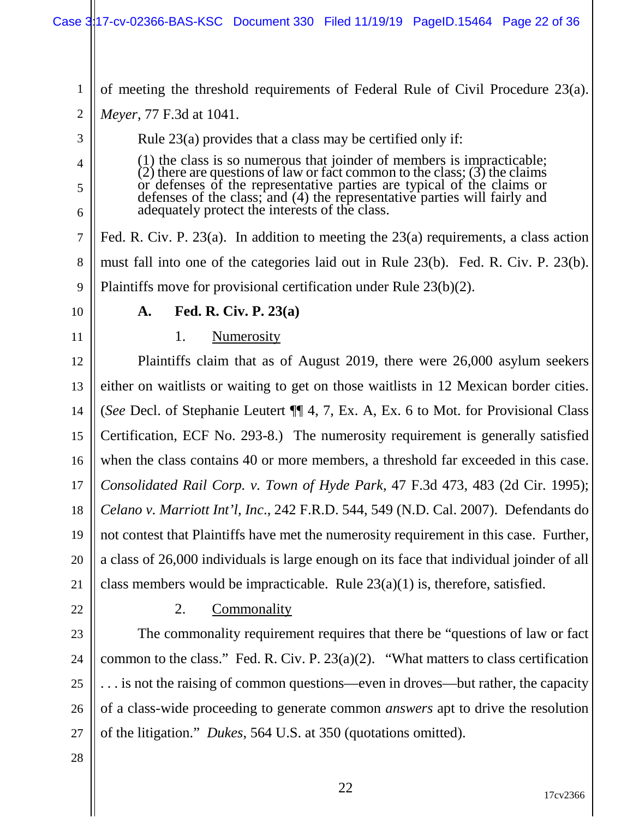1 2 3 4 5 6 7 8 9 10 11 12 13 14 15 16 17 18 19 of meeting the threshold requirements of Federal Rule of Civil Procedure 23(a). *Meyer*, 77 F.3d at 1041. Rule 23(a) provides that a class may be certified only if:  $(1)$  the class is so numerous that joinder of members is impracticable;  $(2)$  there are questions of law or fact common to the class;  $(3)$  the claims or defenses of the representative parties are typical of the claims or defenses of the class; and (4) the representative parties will fairly and adequately protect the interests of the class. Fed. R. Civ. P. 23(a). In addition to meeting the 23(a) requirements, a class action must fall into one of the categories laid out in Rule 23(b). Fed. R. Civ. P. 23(b). Plaintiffs move for provisional certification under Rule 23(b)(2). **A. Fed. R. Civ. P. 23(a)** 1. Numerosity Plaintiffs claim that as of August 2019, there were 26,000 asylum seekers either on waitlists or waiting to get on those waitlists in 12 Mexican border cities. (*See* Decl. of Stephanie Leutert ¶¶ 4, 7, Ex. A, Ex. 6 to Mot. for Provisional Class Certification, ECF No. 293-8.) The numerosity requirement is generally satisfied when the class contains 40 or more members, a threshold far exceeded in this case. *Consolidated Rail Corp. v. Town of Hyde Park*, 47 F.3d 473, 483 (2d Cir. 1995); *Celano v. Marriott Int'l, Inc*., 242 F.R.D. 544, 549 (N.D. Cal. 2007). Defendants do not contest that Plaintiffs have met the numerosity requirement in this case. Further,

20 21 a class of 26,000 individuals is large enough on its face that individual joinder of all class members would be impracticable. Rule  $23(a)(1)$  is, therefore, satisfied.

22

#### 2. Commonality

23 24 25 26 27 The commonality requirement requires that there be "questions of law or fact common to the class." Fed. R. Civ. P. 23(a)(2). "What matters to class certification . . . is not the raising of common questions—even in droves—but rather, the capacity of a class-wide proceeding to generate common *answers* apt to drive the resolution of the litigation." *Dukes*, 564 U.S. at 350 (quotations omitted).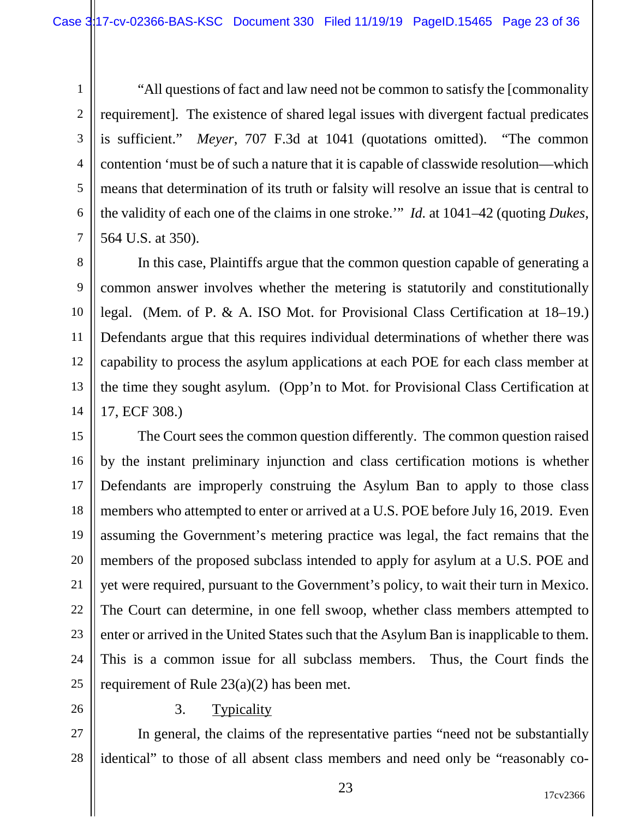1 2 3 4 5 6 7 "All questions of fact and law need not be common to satisfy the [commonality requirement]. The existence of shared legal issues with divergent factual predicates is sufficient." *Meyer*, 707 F.3d at 1041 (quotations omitted). "The common contention 'must be of such a nature that it is capable of classwide resolution—which means that determination of its truth or falsity will resolve an issue that is central to the validity of each one of the claims in one stroke.'" *Id.* at 1041–42 (quoting *Dukes*, 564 U.S. at 350).

8 9 10 11 12 13 14 In this case, Plaintiffs argue that the common question capable of generating a common answer involves whether the metering is statutorily and constitutionally legal. (Mem. of P. & A. ISO Mot. for Provisional Class Certification at 18–19.) Defendants argue that this requires individual determinations of whether there was capability to process the asylum applications at each POE for each class member at the time they sought asylum. (Opp'n to Mot. for Provisional Class Certification at 17, ECF 308.)

15 16 17 18 19 20 21 22 23 24 25 The Court sees the common question differently. The common question raised by the instant preliminary injunction and class certification motions is whether Defendants are improperly construing the Asylum Ban to apply to those class members who attempted to enter or arrived at a U.S. POE before July 16, 2019. Even assuming the Government's metering practice was legal, the fact remains that the members of the proposed subclass intended to apply for asylum at a U.S. POE and yet were required, pursuant to the Government's policy, to wait their turn in Mexico. The Court can determine, in one fell swoop, whether class members attempted to enter or arrived in the United States such that the Asylum Ban is inapplicable to them. This is a common issue for all subclass members. Thus, the Court finds the requirement of Rule 23(a)(2) has been met.

26

#### 3. Typicality

27 28 In general, the claims of the representative parties "need not be substantially identical" to those of all absent class members and need only be "reasonably co-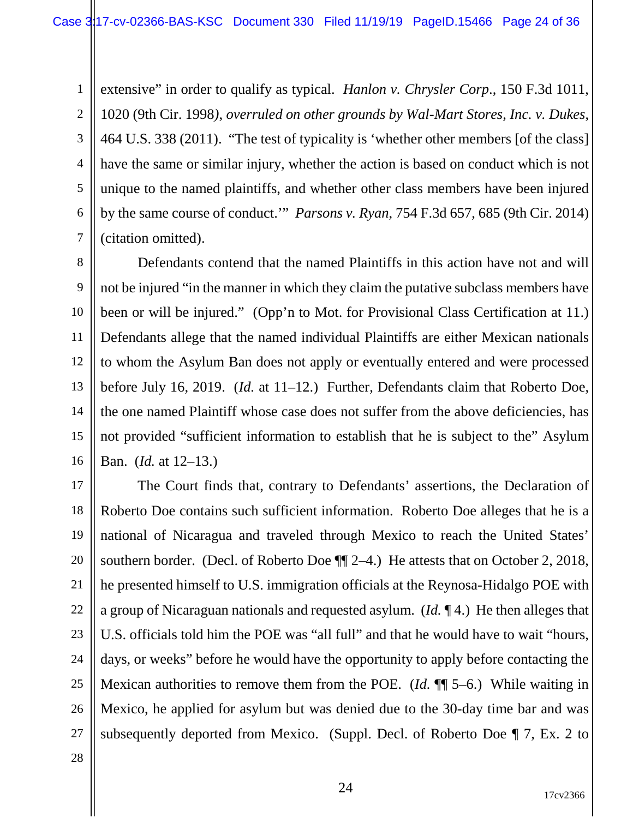1 2 3 4 5 6 7 extensive" in order to qualify as typical. *Hanlon v. Chrysler Corp*., 150 F.3d 1011, 1020 (9th Cir. 1998*)*, *overruled on other grounds by Wal-Mart Stores, Inc. v. Dukes*, 464 U.S. 338 (2011). "The test of typicality is 'whether other members [of the class] have the same or similar injury, whether the action is based on conduct which is not unique to the named plaintiffs, and whether other class members have been injured by the same course of conduct.'" *Parsons v. Ryan*, 754 F.3d 657, 685 (9th Cir. 2014) (citation omitted).

8 9 10 11 12 13 14 15 16 Defendants contend that the named Plaintiffs in this action have not and will not be injured "in the manner in which they claim the putative subclass members have been or will be injured." (Opp'n to Mot. for Provisional Class Certification at 11.) Defendants allege that the named individual Plaintiffs are either Mexican nationals to whom the Asylum Ban does not apply or eventually entered and were processed before July 16, 2019. (*Id.* at 11–12.) Further, Defendants claim that Roberto Doe, the one named Plaintiff whose case does not suffer from the above deficiencies, has not provided "sufficient information to establish that he is subject to the" Asylum Ban. (*Id.* at 12–13.)

17 18 19 20 21 22 23 24 25 26 27 The Court finds that, contrary to Defendants' assertions, the Declaration of Roberto Doe contains such sufficient information. Roberto Doe alleges that he is a national of Nicaragua and traveled through Mexico to reach the United States' southern border. (Decl. of Roberto Doe ¶¶ 2–4.) He attests that on October 2, 2018, he presented himself to U.S. immigration officials at the Reynosa-Hidalgo POE with a group of Nicaraguan nationals and requested asylum. (*Id.* ¶ 4.) He then alleges that U.S. officials told him the POE was "all full" and that he would have to wait "hours, days, or weeks" before he would have the opportunity to apply before contacting the Mexican authorities to remove them from the POE. (*Id.* ¶¶ 5–6.) While waiting in Mexico, he applied for asylum but was denied due to the 30-day time bar and was subsequently deported from Mexico. (Suppl. Decl. of Roberto Doe ¶ 7, Ex. 2 to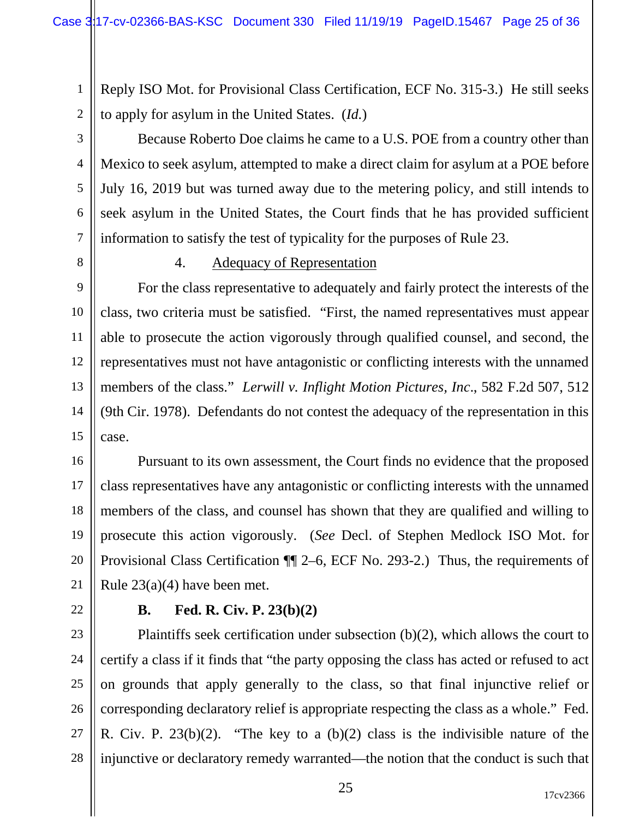Reply ISO Mot. for Provisional Class Certification, ECF No. 315-3.) He still seeks to apply for asylum in the United States. (*Id.*)

3 4 5 6 7 Because Roberto Doe claims he came to a U.S. POE from a country other than Mexico to seek asylum, attempted to make a direct claim for asylum at a POE before July 16, 2019 but was turned away due to the metering policy, and still intends to seek asylum in the United States, the Court finds that he has provided sufficient information to satisfy the test of typicality for the purposes of Rule 23.

8

1

2

#### 4. Adequacy of Representation

9 10 11 12 13 14 15 For the class representative to adequately and fairly protect the interests of the class, two criteria must be satisfied. "First, the named representatives must appear able to prosecute the action vigorously through qualified counsel, and second, the representatives must not have antagonistic or conflicting interests with the unnamed members of the class." *Lerwill v. Inflight Motion Pictures, Inc*., 582 F.2d 507, 512 (9th Cir. 1978). Defendants do not contest the adequacy of the representation in this case.

16 17 18 19 20 21 Pursuant to its own assessment, the Court finds no evidence that the proposed class representatives have any antagonistic or conflicting interests with the unnamed members of the class, and counsel has shown that they are qualified and willing to prosecute this action vigorously. (*See* Decl. of Stephen Medlock ISO Mot. for Provisional Class Certification ¶¶ 2–6, ECF No. 293-2.) Thus, the requirements of Rule 23(a)(4) have been met.

22

#### **B. Fed. R. Civ. P. 23(b)(2)**

23 24 25 26 27 28 Plaintiffs seek certification under subsection (b)(2), which allows the court to certify a class if it finds that "the party opposing the class has acted or refused to act on grounds that apply generally to the class, so that final injunctive relief or corresponding declaratory relief is appropriate respecting the class as a whole." Fed. R. Civ. P. 23(b)(2). "The key to a (b)(2) class is the indivisible nature of the injunctive or declaratory remedy warranted—the notion that the conduct is such that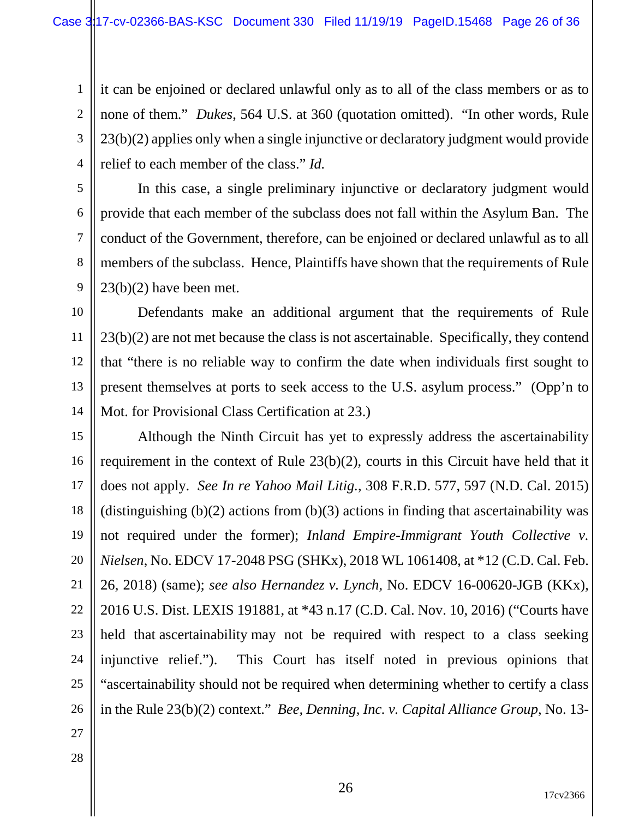1 2 3 4 it can be enjoined or declared unlawful only as to all of the class members or as to none of them." *Dukes*, 564 U.S. at 360 (quotation omitted). "In other words, Rule 23(b)(2) applies only when a single injunctive or declaratory judgment would provide relief to each member of the class." *Id.* 

5

6

7

8

9

In this case, a single preliminary injunctive or declaratory judgment would provide that each member of the subclass does not fall within the Asylum Ban. The conduct of the Government, therefore, can be enjoined or declared unlawful as to all members of the subclass. Hence, Plaintiffs have shown that the requirements of Rule  $23(b)(2)$  have been met.

10 11 12 13 14 Defendants make an additional argument that the requirements of Rule 23(b)(2) are not met because the class is not ascertainable. Specifically, they contend that "there is no reliable way to confirm the date when individuals first sought to present themselves at ports to seek access to the U.S. asylum process." (Opp'n to Mot. for Provisional Class Certification at 23.)

15 16 17 18 19 20 21 22 23 24 25 26 Although the Ninth Circuit has yet to expressly address the ascertainability requirement in the context of Rule 23(b)(2), courts in this Circuit have held that it does not apply. *See In re Yahoo Mail Litig.*, 308 F.R.D. 577, 597 (N.D. Cal. 2015) (distinguishing  $(b)(2)$  actions from  $(b)(3)$  actions in finding that ascertainability was not required under the former); *Inland Empire-Immigrant Youth Collective v. Nielsen*, No. EDCV 17-2048 PSG (SHKx), 2018 WL 1061408, at \*12 (C.D. Cal. Feb. 26, 2018) (same); *see also Hernandez v. Lynch*, No. EDCV 16-00620-JGB (KKx), 2016 U.S. Dist. LEXIS 191881, at \*43 n.17 (C.D. Cal. Nov. 10, 2016) ("Courts have held that ascertainability may not be required with respect to a class seeking injunctive relief."). This Court has itself noted in previous opinions that "ascertainability should not be required when determining whether to certify a class in the Rule 23(b)(2) context." *Bee, Denning, Inc. v. Capital Alliance Group*, No. 13-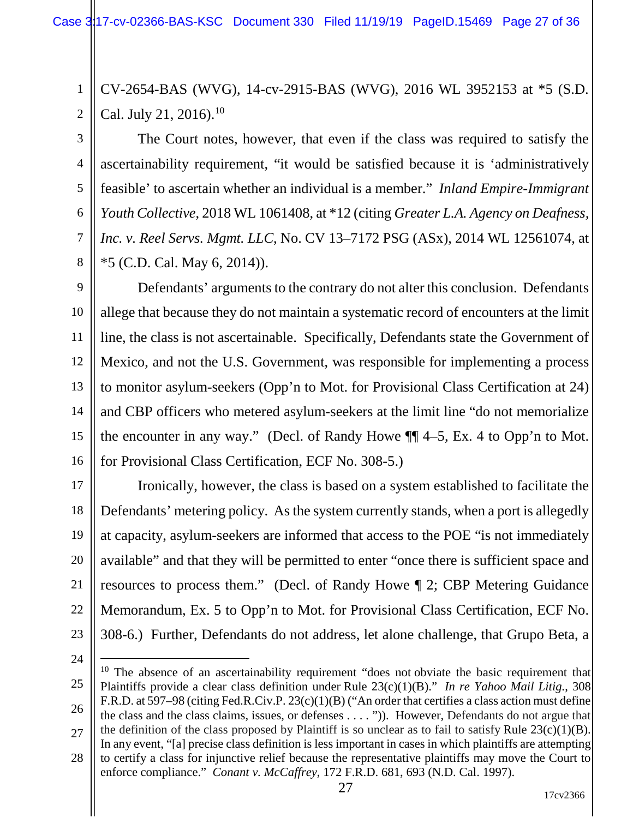1 2 CV-2654-BAS (WVG), 14-cv-2915-BAS (WVG), 2016 WL 3952153 at \*5 (S.D. Cal. July 21, 2016).<sup>[10](#page-26-0)</sup>

3 4 5 6 7 8 The Court notes, however, that even if the class was required to satisfy the ascertainability requirement, "it would be satisfied because it is 'administratively feasible' to ascertain whether an individual is a member." *Inland Empire-Immigrant Youth Collective*, 2018 WL 1061408, at \*12 (citing *Greater L.A. Agency on Deafness, Inc. v. Reel Servs. Mgmt. LLC*, No. CV 13–7172 PSG (ASx), 2014 WL 12561074, at \*5 (C.D. Cal. May 6, 2014)).

9 10 11 12 13 14 15 16 Defendants' arguments to the contrary do not alter this conclusion. Defendants allege that because they do not maintain a systematic record of encounters at the limit line, the class is not ascertainable. Specifically, Defendants state the Government of Mexico, and not the U.S. Government, was responsible for implementing a process to monitor asylum-seekers (Opp'n to Mot. for Provisional Class Certification at 24) and CBP officers who metered asylum-seekers at the limit line "do not memorialize the encounter in any way." (Decl. of Randy Howe ¶¶ 4–5, Ex. 4 to Opp'n to Mot. for Provisional Class Certification, ECF No. 308-5.)

17 18 19 20 21 22 23 Ironically, however, the class is based on a system established to facilitate the Defendants' metering policy. As the system currently stands, when a port is allegedly at capacity, asylum-seekers are informed that access to the POE "is not immediately available" and that they will be permitted to enter "once there is sufficient space and resources to process them." (Decl. of Randy Howe ¶ 2; CBP Metering Guidance Memorandum, Ex. 5 to Opp'n to Mot. for Provisional Class Certification, ECF No. 308-6.) Further, Defendants do not address, let alone challenge, that Grupo Beta, a

<span id="page-26-0"></span><sup>25</sup> 26 27  $10$  The absence of an ascertainability requirement "does not obviate the basic requirement that Plaintiffs provide a clear class definition under Rule 23(c)(1)(B)." *In re Yahoo Mail Litig.*, 308 F.R.D. at 597–98 (citing Fed.R.Civ.P. 23(c)(1)(B) ("An order that certifies a class action must define the class and the class claims, issues, or defenses . . . . ")). However, Defendants do not argue that the definition of the class proposed by Plaintiff is so unclear as to fail to satisfy Rule  $23(c)(1)(B)$ . In any event, "[a] precise class definition is less important in cases in which plaintiffs are attempting

<sup>28</sup> to certify a class for injunctive relief because the representative plaintiffs may move the Court to enforce compliance." *Conant v. McCaffrey*, 172 F.R.D. 681, 693 (N.D. Cal. 1997).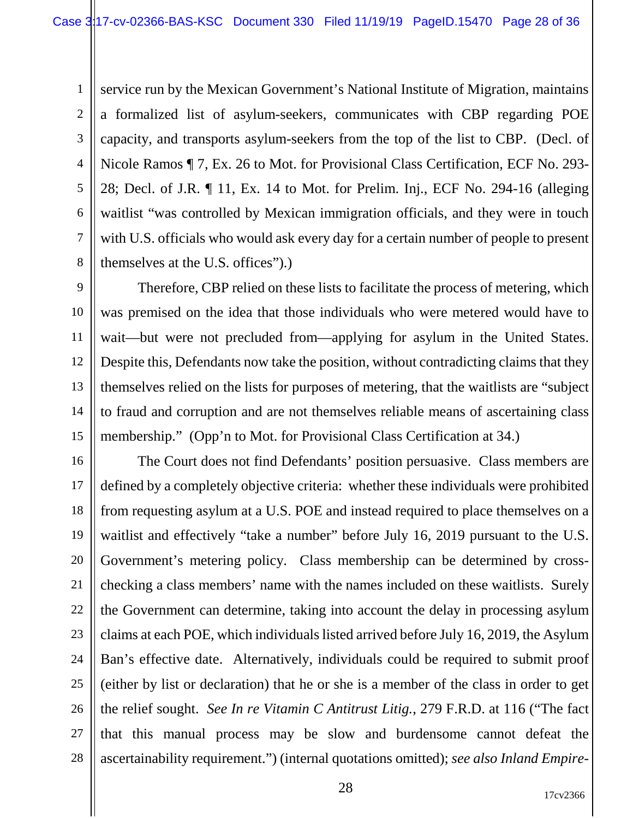1 2 3 4 5 6 7 8 service run by the Mexican Government's National Institute of Migration, maintains a formalized list of asylum-seekers, communicates with CBP regarding POE capacity, and transports asylum-seekers from the top of the list to CBP. (Decl. of Nicole Ramos ¶ 7, Ex. 26 to Mot. for Provisional Class Certification, ECF No. 293- 28; Decl. of J.R. ¶ 11, Ex. 14 to Mot. for Prelim. Inj., ECF No. 294-16 (alleging waitlist "was controlled by Mexican immigration officials, and they were in touch with U.S. officials who would ask every day for a certain number of people to present themselves at the U.S. offices").)

9 10 11 12 13 14 15 Therefore, CBP relied on these lists to facilitate the process of metering, which was premised on the idea that those individuals who were metered would have to wait—but were not precluded from—applying for asylum in the United States. Despite this, Defendants now take the position, without contradicting claims that they themselves relied on the lists for purposes of metering, that the waitlists are "subject to fraud and corruption and are not themselves reliable means of ascertaining class membership." (Opp'n to Mot. for Provisional Class Certification at 34.)

16 17 18 19 20 21 22 23 24 25 26 27 28 The Court does not find Defendants' position persuasive. Class members are defined by a completely objective criteria: whether these individuals were prohibited from requesting asylum at a U.S. POE and instead required to place themselves on a waitlist and effectively "take a number" before July 16, 2019 pursuant to the U.S. Government's metering policy. Class membership can be determined by crosschecking a class members' name with the names included on these waitlists. Surely the Government can determine, taking into account the delay in processing asylum claims at each POE, which individuals listed arrived before July 16, 2019, the Asylum Ban's effective date. Alternatively, individuals could be required to submit proof (either by list or declaration) that he or she is a member of the class in order to get the relief sought. *See In re Vitamin C Antitrust Litig.*, 279 F.R.D. at 116 ("The fact that this manual process may be slow and burdensome cannot defeat the ascertainability requirement.") (internal quotations omitted); *see also Inland Empire-*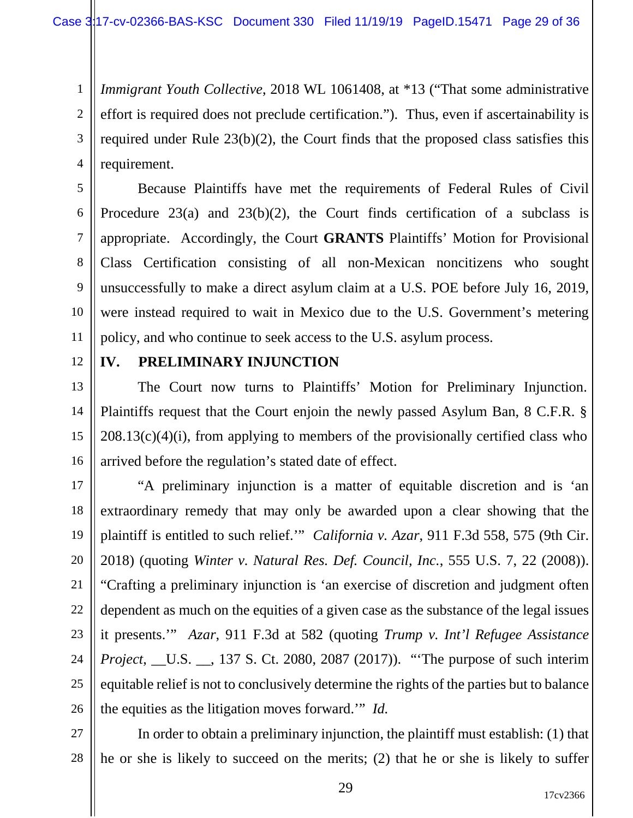1 2 3 4 *Immigrant Youth Collective*, 2018 WL 1061408, at \*13 ("That some administrative effort is required does not preclude certification."). Thus, even if ascertainability is required under Rule 23(b)(2), the Court finds that the proposed class satisfies this requirement.

5 6 7 8 9 10 11 Because Plaintiffs have met the requirements of Federal Rules of Civil Procedure  $23(a)$  and  $23(b)(2)$ , the Court finds certification of a subclass is appropriate. Accordingly, the Court **GRANTS** Plaintiffs' Motion for Provisional Class Certification consisting of all non-Mexican noncitizens who sought unsuccessfully to make a direct asylum claim at a U.S. POE before July 16, 2019, were instead required to wait in Mexico due to the U.S. Government's metering policy, and who continue to seek access to the U.S. asylum process.

12

# **IV. PRELIMINARY INJUNCTION**

13 14 15 16 The Court now turns to Plaintiffs' Motion for Preliminary Injunction. Plaintiffs request that the Court enjoin the newly passed Asylum Ban, 8 C.F.R. §  $208.13(c)(4)(i)$ , from applying to members of the provisionally certified class who arrived before the regulation's stated date of effect.

17 18 19 20 21 22 23 24 25 26 "A preliminary injunction is a matter of equitable discretion and is 'an extraordinary remedy that may only be awarded upon a clear showing that the plaintiff is entitled to such relief.'" *California v. Azar*, 911 F.3d 558, 575 (9th Cir. 2018) (quoting *Winter v. Natural Res. Def. Council, Inc.*, 555 U.S. 7, 22 (2008)). "Crafting a preliminary injunction is 'an exercise of discretion and judgment often dependent as much on the equities of a given case as the substance of the legal issues it presents.'" *Azar*, 911 F.3d at 582 (quoting *Trump v. Int'l Refugee Assistance Project*, \_U.S. \_\_, 137 S. Ct. 2080, 2087 (2017)). "The purpose of such interim equitable relief is not to conclusively determine the rights of the parties but to balance the equities as the litigation moves forward.'" *Id.*

27 28 In order to obtain a preliminary injunction, the plaintiff must establish: (1) that he or she is likely to succeed on the merits; (2) that he or she is likely to suffer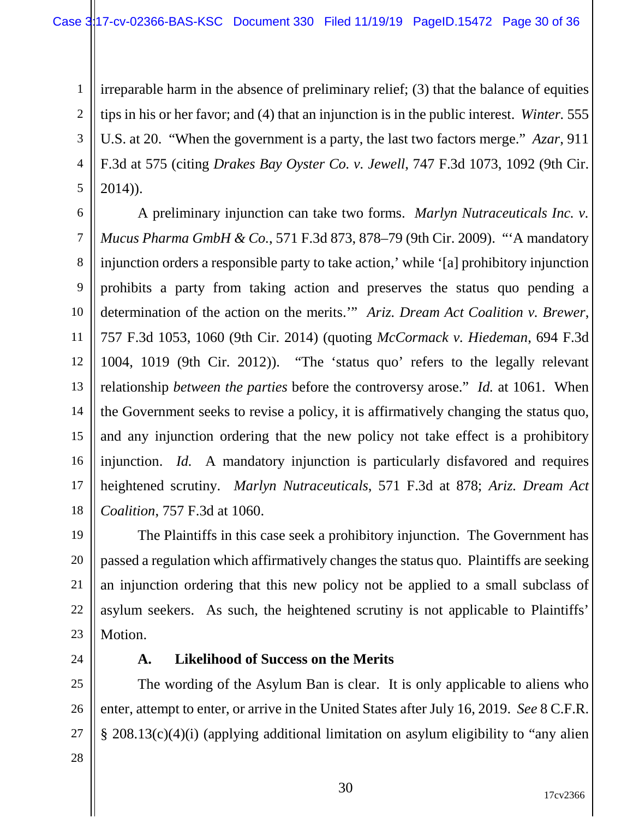1 2 3 4 5 irreparable harm in the absence of preliminary relief; (3) that the balance of equities tips in his or her favor; and (4) that an injunction is in the public interest. *Winter.* 555 U.S. at 20. "When the government is a party, the last two factors merge." *Azar*, 911 F.3d at 575 (citing *Drakes Bay Oyster Co. v. Jewell*, 747 F.3d 1073, 1092 (9th Cir. 2014)).

6 7 8 9 10 11 12 13 14 15 16 17 18 A preliminary injunction can take two forms. *Marlyn Nutraceuticals Inc. v. Mucus Pharma GmbH & Co.*, 571 F.3d 873, 878–79 (9th Cir. 2009). "'A mandatory injunction orders a responsible party to take action,' while '[a] prohibitory injunction prohibits a party from taking action and preserves the status quo pending a determination of the action on the merits.'" *Ariz. Dream Act Coalition v. Brewer*, 757 F.3d 1053, 1060 (9th Cir. 2014) (quoting *McCormack v. Hiedeman*, 694 F.3d 1004, 1019 (9th Cir. 2012)). "The 'status quo' refers to the legally relevant relationship *between the parties* before the controversy arose." *Id.* at 1061. When the Government seeks to revise a policy, it is affirmatively changing the status quo, and any injunction ordering that the new policy not take effect is a prohibitory injunction. *Id.* A mandatory injunction is particularly disfavored and requires heightened scrutiny. *Marlyn Nutraceuticals*, 571 F.3d at 878; *Ariz. Dream Act Coalition*, 757 F.3d at 1060.

19 20 21 22 23 The Plaintiffs in this case seek a prohibitory injunction. The Government has passed a regulation which affirmatively changes the status quo. Plaintiffs are seeking an injunction ordering that this new policy not be applied to a small subclass of asylum seekers. As such, the heightened scrutiny is not applicable to Plaintiffs' Motion.

24

#### **A. Likelihood of Success on the Merits**

25 26 27 The wording of the Asylum Ban is clear. It is only applicable to aliens who enter, attempt to enter, or arrive in the United States after July 16, 2019. *See* 8 C.F.R. § 208.13(c)(4)(i) (applying additional limitation on asylum eligibility to "any alien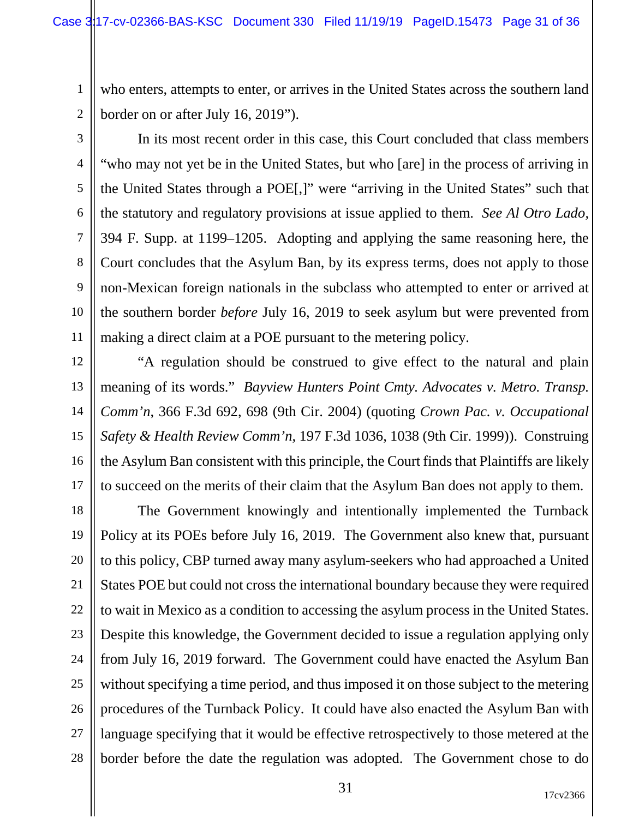who enters, attempts to enter, or arrives in the United States across the southern land border on or after July 16, 2019").

2 3

1

4 5 6 7 8 9 10 11 In its most recent order in this case, this Court concluded that class members "who may not yet be in the United States, but who [are] in the process of arriving in the United States through a POE[,]" were "arriving in the United States" such that the statutory and regulatory provisions at issue applied to them. *See Al Otro Lado*, 394 F. Supp. at 1199–1205. Adopting and applying the same reasoning here, the Court concludes that the Asylum Ban, by its express terms, does not apply to those non-Mexican foreign nationals in the subclass who attempted to enter or arrived at the southern border *before* July 16, 2019 to seek asylum but were prevented from making a direct claim at a POE pursuant to the metering policy.

12 13 14 15 16 17 "A regulation should be construed to give effect to the natural and plain meaning of its words." *Bayview Hunters Point Cmty. Advocates v. Metro. Transp. Comm'n*, 366 F.3d 692, 698 (9th Cir. 2004) (quoting *Crown Pac. v. Occupational Safety & Health Review Comm'n*, 197 F.3d 1036, 1038 (9th Cir. 1999)). Construing the Asylum Ban consistent with this principle, the Court finds that Plaintiffs are likely to succeed on the merits of their claim that the Asylum Ban does not apply to them.

18 19 20 21 22 23 24 25 26 27 28 The Government knowingly and intentionally implemented the Turnback Policy at its POEs before July 16, 2019. The Government also knew that, pursuant to this policy, CBP turned away many asylum-seekers who had approached a United States POE but could not cross the international boundary because they were required to wait in Mexico as a condition to accessing the asylum process in the United States. Despite this knowledge, the Government decided to issue a regulation applying only from July 16, 2019 forward. The Government could have enacted the Asylum Ban without specifying a time period, and thus imposed it on those subject to the metering procedures of the Turnback Policy. It could have also enacted the Asylum Ban with language specifying that it would be effective retrospectively to those metered at the border before the date the regulation was adopted. The Government chose to do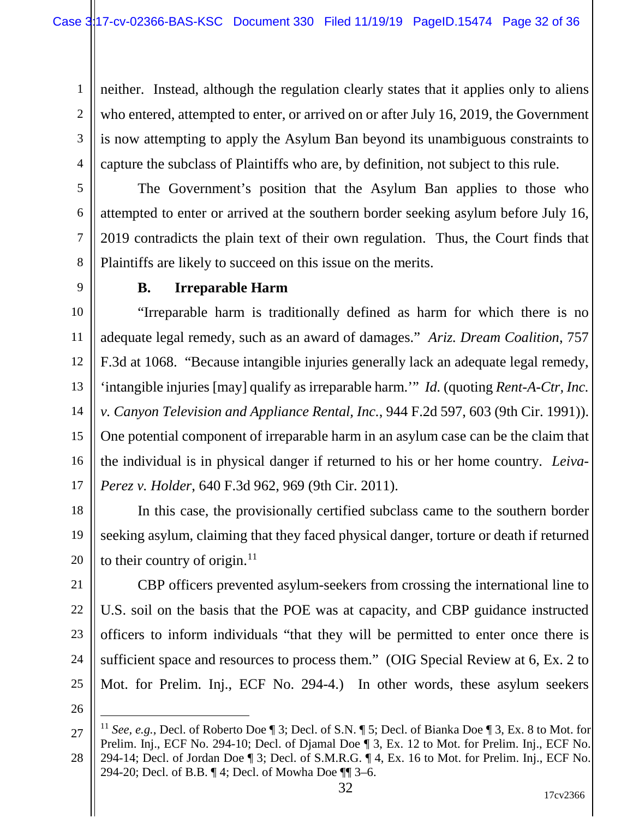1 2 3 4 neither. Instead, although the regulation clearly states that it applies only to aliens who entered, attempted to enter, or arrived on or after July 16, 2019, the Government is now attempting to apply the Asylum Ban beyond its unambiguous constraints to capture the subclass of Plaintiffs who are, by definition, not subject to this rule.

5 6 7 8 The Government's position that the Asylum Ban applies to those who attempted to enter or arrived at the southern border seeking asylum before July 16, 2019 contradicts the plain text of their own regulation. Thus, the Court finds that Plaintiffs are likely to succeed on this issue on the merits.

9

# **B. Irreparable Harm**

10 11 12 13 14 15 16 17 "Irreparable harm is traditionally defined as harm for which there is no adequate legal remedy, such as an award of damages." *Ariz. Dream Coalition*, 757 F.3d at 1068. "Because intangible injuries generally lack an adequate legal remedy, 'intangible injuries [may] qualify as irreparable harm.'" *Id.* (quoting *Rent-A-Ctr, Inc. v. Canyon Television and Appliance Rental, Inc.*, 944 F.2d 597, 603 (9th Cir. 1991)). One potential component of irreparable harm in an asylum case can be the claim that the individual is in physical danger if returned to his or her home country. *Leiva-Perez v. Holder*, 640 F.3d 962, 969 (9th Cir. 2011).

18 19 20 In this case, the provisionally certified subclass came to the southern border seeking asylum, claiming that they faced physical danger, torture or death if returned to their country of origin.<sup>[11](#page-31-0)</sup>

21 22 23 24 25 CBP officers prevented asylum-seekers from crossing the international line to U.S. soil on the basis that the POE was at capacity, and CBP guidance instructed officers to inform individuals "that they will be permitted to enter once there is sufficient space and resources to process them." (OIG Special Review at 6, Ex. 2 to Mot. for Prelim. Inj., ECF No. 294-4.) In other words, these asylum seekers

<span id="page-31-0"></span><sup>27</sup> 11 *See, e.g.*, Decl. of Roberto Doe ¶ 3; Decl. of S.N. ¶ 5; Decl. of Bianka Doe ¶ 3, Ex. 8 to Mot. for Prelim. Inj., ECF No. 294-10; Decl. of Djamal Doe ¶ 3, Ex. 12 to Mot. for Prelim. Inj., ECF No.

<sup>28</sup> 294-14; Decl. of Jordan Doe ¶ 3; Decl. of S.M.R.G. ¶ 4, Ex. 16 to Mot. for Prelim. Inj., ECF No. 294-20; Decl. of B.B. ¶ 4; Decl. of Mowha Doe ¶¶ 3–6.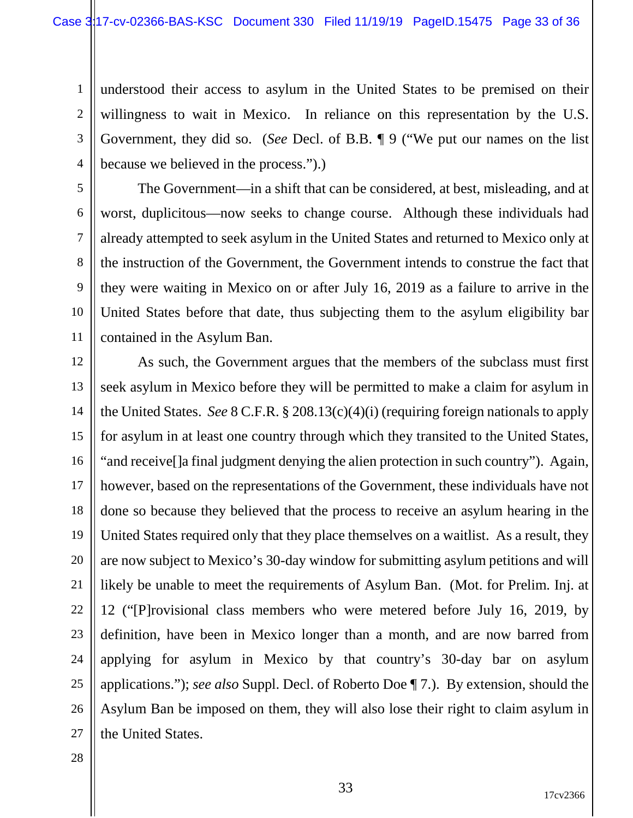1 2 3 4 understood their access to asylum in the United States to be premised on their willingness to wait in Mexico. In reliance on this representation by the U.S. Government, they did so. (*See* Decl. of B.B. ¶ 9 ("We put our names on the list because we believed in the process.").)

5 6 7 8 9 10 11 The Government—in a shift that can be considered, at best, misleading, and at worst, duplicitous—now seeks to change course. Although these individuals had already attempted to seek asylum in the United States and returned to Mexico only at the instruction of the Government, the Government intends to construe the fact that they were waiting in Mexico on or after July 16, 2019 as a failure to arrive in the United States before that date, thus subjecting them to the asylum eligibility bar contained in the Asylum Ban.

12 13 14 15 16 17 18 19 20 21 22 23 24 25 26 27 As such, the Government argues that the members of the subclass must first seek asylum in Mexico before they will be permitted to make a claim for asylum in the United States. *See* 8 C.F.R. § 208.13(c)(4)(i) (requiring foreign nationals to apply for asylum in at least one country through which they transited to the United States, "and receive[]a final judgment denying the alien protection in such country"). Again, however, based on the representations of the Government, these individuals have not done so because they believed that the process to receive an asylum hearing in the United States required only that they place themselves on a waitlist. As a result, they are now subject to Mexico's 30-day window for submitting asylum petitions and will likely be unable to meet the requirements of Asylum Ban. (Mot. for Prelim. Inj. at 12 ("[P]rovisional class members who were metered before July 16, 2019, by definition, have been in Mexico longer than a month, and are now barred from applying for asylum in Mexico by that country's 30-day bar on asylum applications."); *see also* Suppl. Decl. of Roberto Doe ¶ 7.). By extension, should the Asylum Ban be imposed on them, they will also lose their right to claim asylum in the United States.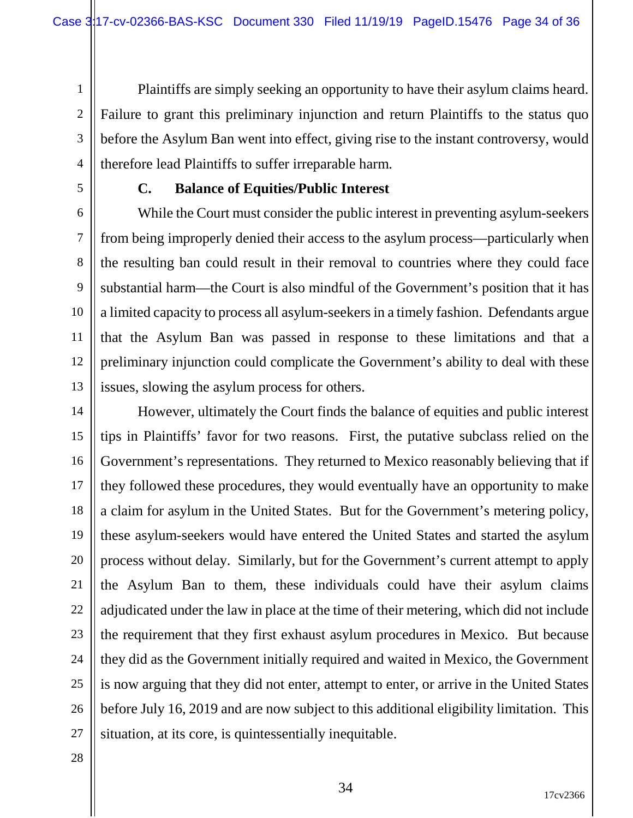1 2 3 4 Plaintiffs are simply seeking an opportunity to have their asylum claims heard. Failure to grant this preliminary injunction and return Plaintiffs to the status quo before the Asylum Ban went into effect, giving rise to the instant controversy, would therefore lead Plaintiffs to suffer irreparable harm.

5

#### **C. Balance of Equities/Public Interest**

6 7 8 9 10 11 12 13 While the Court must consider the public interest in preventing asylum-seekers from being improperly denied their access to the asylum process—particularly when the resulting ban could result in their removal to countries where they could face substantial harm—the Court is also mindful of the Government's position that it has a limited capacity to process all asylum-seekers in a timely fashion. Defendants argue that the Asylum Ban was passed in response to these limitations and that a preliminary injunction could complicate the Government's ability to deal with these issues, slowing the asylum process for others.

14 15 16 17 18 19 20 21 22 23 24 25 26 27 However, ultimately the Court finds the balance of equities and public interest tips in Plaintiffs' favor for two reasons. First, the putative subclass relied on the Government's representations. They returned to Mexico reasonably believing that if they followed these procedures, they would eventually have an opportunity to make a claim for asylum in the United States. But for the Government's metering policy, these asylum-seekers would have entered the United States and started the asylum process without delay. Similarly, but for the Government's current attempt to apply the Asylum Ban to them, these individuals could have their asylum claims adjudicated under the law in place at the time of their metering, which did not include the requirement that they first exhaust asylum procedures in Mexico. But because they did as the Government initially required and waited in Mexico, the Government is now arguing that they did not enter, attempt to enter, or arrive in the United States before July 16, 2019 and are now subject to this additional eligibility limitation. This situation, at its core, is quintessentially inequitable.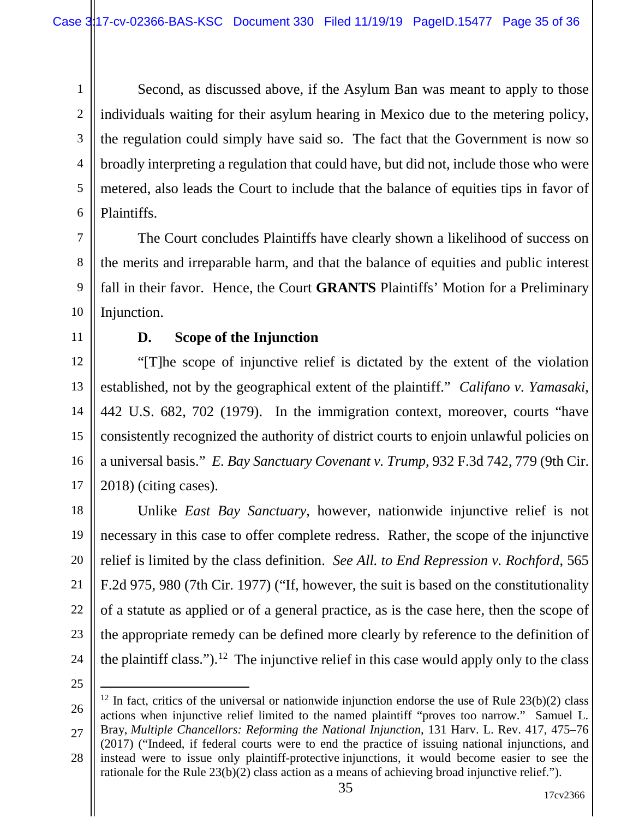1 2 3 4 5 6 Second, as discussed above, if the Asylum Ban was meant to apply to those individuals waiting for their asylum hearing in Mexico due to the metering policy, the regulation could simply have said so. The fact that the Government is now so broadly interpreting a regulation that could have, but did not, include those who were metered, also leads the Court to include that the balance of equities tips in favor of Plaintiffs.

7 8 9 10 The Court concludes Plaintiffs have clearly shown a likelihood of success on the merits and irreparable harm, and that the balance of equities and public interest fall in their favor. Hence, the Court **GRANTS** Plaintiffs' Motion for a Preliminary Injunction.

11

### **D. Scope of the Injunction**

12 13 14 15 16 17 "[T]he scope of injunctive relief is dictated by the extent of the violation established, not by the geographical extent of the plaintiff." *Califano v. Yamasaki*, 442 U.S. 682, 702 (1979). In the immigration context, moreover, courts "have consistently recognized the authority of district courts to enjoin unlawful policies on a universal basis." *E. Bay Sanctuary Covenant v. Trump*, 932 F.3d 742, 779 (9th Cir. 2018) (citing cases).

18 19 20 21 22 23 24 Unlike *East Bay Sanctuary*, however, nationwide injunctive relief is not necessary in this case to offer complete redress. Rather, the scope of the injunctive relief is limited by the class definition. *See All. to End Repression v. Rochford*, 565 F.2d 975, 980 (7th Cir. 1977) ("If, however, the suit is based on the constitutionality of a statute as applied or of a general practice, as is the case here, then the scope of the appropriate remedy can be defined more clearly by reference to the definition of the plaintiff class.").<sup>[12](#page-34-0)</sup> The injunctive relief in this case would apply only to the class

<span id="page-34-0"></span><sup>26</sup> 27 28 <sup>12</sup> In fact, critics of the universal or nationwide injunction endorse the use of Rule  $23(b)(2)$  class actions when injunctive relief limited to the named plaintiff "proves too narrow." Samuel L. Bray, *Multiple Chancellors: Reforming the National Injunction*, 131 Harv. L. Rev. 417, 475–76 (2017) ("Indeed, if federal courts were to end the practice of issuing national injunctions, and instead were to issue only plaintiff-protective injunctions, it would become easier to see the rationale for the Rule 23(b)(2) class action as a means of achieving broad injunctive relief.").